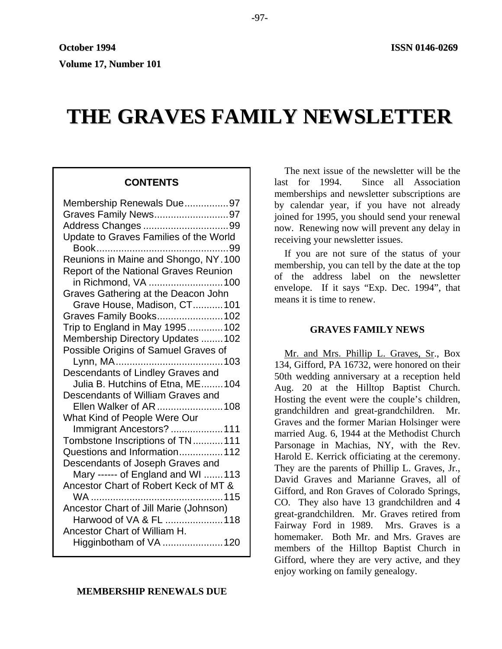# **THE GRAVES FAMILY NEWSLETTER**

# **CONTENTS**

| Membership Renewals Due97              |
|----------------------------------------|
| Graves Family News97                   |
|                                        |
| Update to Graves Families of the World |
|                                        |
| Reunions in Maine and Shongo, NY.100   |
| Report of the National Graves Reunion  |
| in Richmond, VA 100                    |
| Graves Gathering at the Deacon John    |
| Grave House, Madison, CT101            |
| Graves Family Books102                 |
| Trip to England in May 1995102         |
| Membership Directory Updates  102      |
| Possible Origins of Samuel Graves of   |
|                                        |
| Descendants of Lindley Graves and      |
| Julia B. Hutchins of Etna, ME104       |
| Descendants of William Graves and      |
| Ellen Walker of AR 108                 |
| What Kind of People Were Our           |
| Immigrant Ancestors?  111              |
| Tombstone Inscriptions of TN111        |
| Questions and Information 112          |
| Descendants of Joseph Graves and       |
| Mary ------ of England and WI 113      |
| Ancestor Chart of Robert Keck of MT &  |
|                                        |
| Ancestor Chart of Jill Marie (Johnson) |
| Harwood of VA & FL 118                 |
| Ancestor Chart of William H.           |
| Higginbotham of VA 120                 |

**MEMBERSHIP RENEWALS DUE** 

The next issue of the newsletter will be the last for 1994. Since all Association memberships and newsletter subscriptions are by calendar year, if you have not already joined for 1995, you should send your renewal now. Renewing now will prevent any delay in receiving your newsletter issues.

If you are not sure of the status of your membership, you can tell by the date at the top of the address label on the newsletter envelope. If it says "Exp. Dec. 1994", that means it is time to renew.

# **GRAVES FAMILY NEWS**

Mr. and Mrs. Phillip L. Graves, Sr., Box 134, Gifford, PA 16732, were honored on their 50th wedding anniversary at a reception held Aug. 20 at the Hilltop Baptist Church. Hosting the event were the couple's children, grandchildren and great-grandchildren. Mr. Graves and the former Marian Holsinger were married Aug. 6, 1944 at the Methodist Church Parsonage in Machias, NY, with the Rev. Harold E. Kerrick officiating at the ceremony. They are the parents of Phillip L. Graves, Jr., David Graves and Marianne Graves, all of Gifford, and Ron Graves of Colorado Springs, CO. They also have 13 grandchildren and 4 great-grandchildren. Mr. Graves retired from Fairway Ford in 1989. Mrs. Graves is a homemaker. Both Mr. and Mrs. Graves are members of the Hilltop Baptist Church in Gifford, where they are very active, and they enjoy working on family genealogy.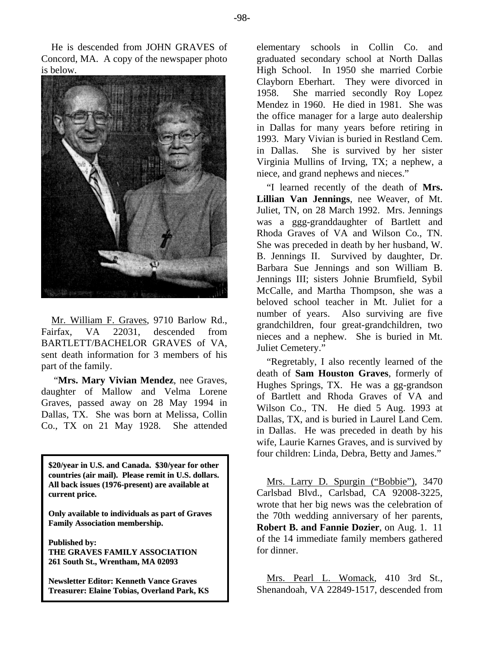He is descended from JOHN GRAVES of Concord, MA. A copy of the newspaper photo is below.



Mr. William F. Graves, 9710 Barlow Rd., Fairfax, VA 22031, descended from BARTLETT/BACHELOR GRAVES of VA, sent death information for 3 members of his part of the family.

 "**Mrs. Mary Vivian Mendez**, nee Graves, daughter of Mallow and Velma Lorene Graves, passed away on 28 May 1994 in Dallas, TX. She was born at Melissa, Collin Co., TX on 21 May 1928. She attended

**\$20/year in U.S. and Canada. \$30/year for other countries (air mail). Please remit in U.S. dollars. All back issues (1976-present) are available at current price.**

**Only available to individuals as part of Graves Family Association membership.**

**Published by: THE GRAVES FAMILY ASSOCIATION 261 South St., Wrentham, MA 02093**

**Newsletter Editor: Kenneth Vance Graves Treasurer: Elaine Tobias, Overland Park, KS** elementary schools in Collin Co. and graduated secondary school at North Dallas High School. In 1950 she married Corbie Clayborn Eberhart. They were divorced in 1958. She married secondly Roy Lopez Mendez in 1960. He died in 1981. She was the office manager for a large auto dealership in Dallas for many years before retiring in 1993. Mary Vivian is buried in Restland Cem. in Dallas. She is survived by her sister Virginia Mullins of Irving, TX; a nephew, a niece, and grand nephews and nieces."

"I learned recently of the death of **Mrs. Lillian Van Jennings**, nee Weaver, of Mt. Juliet, TN, on 28 March 1992. Mrs. Jennings was a ggg-granddaughter of Bartlett and Rhoda Graves of VA and Wilson Co., TN. She was preceded in death by her husband, W. B. Jennings II. Survived by daughter, Dr. Barbara Sue Jennings and son William B. Jennings III; sisters Johnie Brumfield, Sybil McCalle, and Martha Thompson, she was a beloved school teacher in Mt. Juliet for a number of years. Also surviving are five grandchildren, four great-grandchildren, two nieces and a nephew. She is buried in Mt. Juliet Cemetery."

"Regretably, I also recently learned of the death of **Sam Houston Graves**, formerly of Hughes Springs, TX. He was a gg-grandson of Bartlett and Rhoda Graves of VA and Wilson Co., TN. He died 5 Aug. 1993 at Dallas, TX, and is buried in Laurel Land Cem. in Dallas. He was preceded in death by his wife, Laurie Karnes Graves, and is survived by four children: Linda, Debra, Betty and James."

Mrs. Larry D. Spurgin ("Bobbie"), 3470 Carlsbad Blvd., Carlsbad, CA 92008-3225, wrote that her big news was the celebration of the 70th wedding anniversary of her parents, **Robert B. and Fannie Dozier**, on Aug. 1. 11 of the 14 immediate family members gathered for dinner.

Mrs. Pearl L. Womack, 410 3rd St., Shenandoah, VA 22849-1517, descended from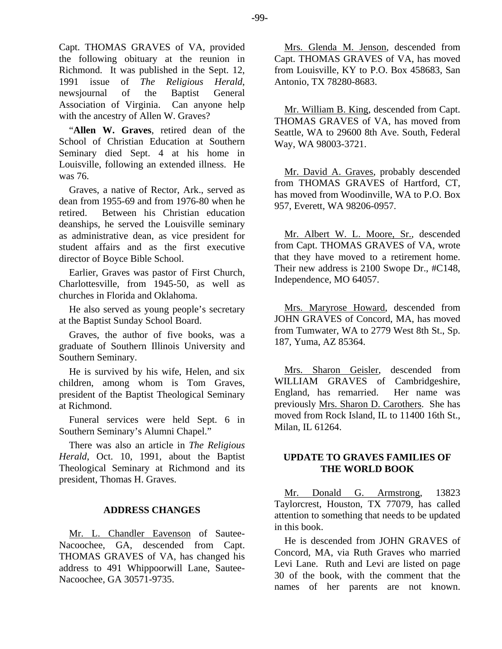Capt. THOMAS GRAVES of VA, provided the following obituary at the reunion in Richmond. It was published in the Sept. 12, 1991 issue of *The Religious Herald*, newsjournal of the Baptist General Association of Virginia. Can anyone help with the ancestry of Allen W. Graves?

"**Allen W. Graves**, retired dean of the School of Christian Education at Southern Seminary died Sept. 4 at his home in Louisville, following an extended illness. He was 76.

Graves, a native of Rector, Ark., served as dean from 1955-69 and from 1976-80 when he retired. Between his Christian education deanships, he served the Louisville seminary as administrative dean, as vice president for student affairs and as the first executive director of Boyce Bible School.

Earlier, Graves was pastor of First Church, Charlottesville, from 1945-50, as well as churches in Florida and Oklahoma.

He also served as young people's secretary at the Baptist Sunday School Board.

Graves, the author of five books, was a graduate of Southern Illinois University and Southern Seminary.

He is survived by his wife, Helen, and six children, among whom is Tom Graves, president of the Baptist Theological Seminary at Richmond.

Funeral services were held Sept. 6 in Southern Seminary's Alumni Chapel."

There was also an article in *The Religious Herald*, Oct. 10, 1991, about the Baptist Theological Seminary at Richmond and its president, Thomas H. Graves.

# **ADDRESS CHANGES**

Mr. L. Chandler Eavenson of Sautee-Nacoochee, GA, descended from Capt. THOMAS GRAVES of VA, has changed his address to 491 Whippoorwill Lane, Sautee-Nacoochee, GA 30571-9735.

Mrs. Glenda M. Jenson, descended from Capt. THOMAS GRAVES of VA, has moved from Louisville, KY to P.O. Box 458683, San Antonio, TX 78280-8683.

Mr. William B. King, descended from Capt. THOMAS GRAVES of VA, has moved from Seattle, WA to 29600 8th Ave. South, Federal Way, WA 98003-3721.

Mr. David A. Graves, probably descended from THOMAS GRAVES of Hartford, CT, has moved from Woodinville, WA to P.O. Box 957, Everett, WA 98206-0957.

Mr. Albert W. L. Moore, Sr., descended from Capt. THOMAS GRAVES of VA, wrote that they have moved to a retirement home. Their new address is 2100 Swope Dr., #C148, Independence, MO 64057.

Mrs. Maryrose Howard, descended from JOHN GRAVES of Concord, MA, has moved from Tumwater, WA to 2779 West 8th St., Sp. 187, Yuma, AZ 85364.

Mrs. Sharon Geisler, descended from WILLIAM GRAVES of Cambridgeshire, England, has remarried. Her name was previously Mrs. Sharon D. Carothers. She has moved from Rock Island, IL to 11400 16th St., Milan, IL 61264.

# **UPDATE TO GRAVES FAMILIES OF THE WORLD BOOK**

Mr. Donald G. Armstrong, 13823 Taylorcrest, Houston, TX 77079, has called attention to something that needs to be updated in this book.

He is descended from JOHN GRAVES of Concord, MA, via Ruth Graves who married Levi Lane. Ruth and Levi are listed on page 30 of the book, with the comment that the names of her parents are not known.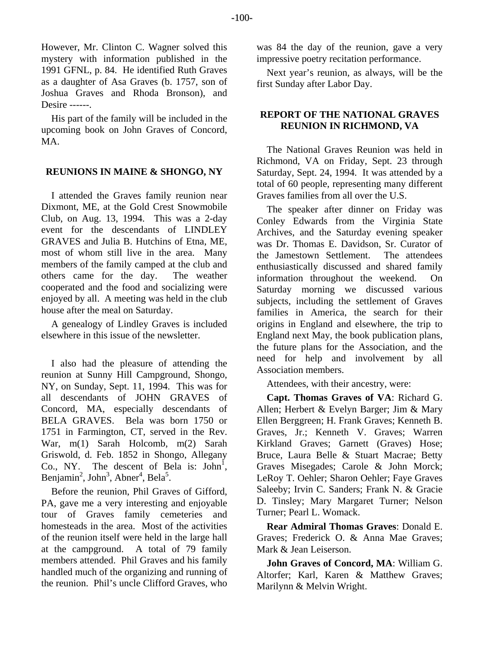However, Mr. Clinton C. Wagner solved this mystery with information published in the 1991 GFNL, p. 84. He identified Ruth Graves as a daughter of Asa Graves (b. 1757, son of Joshua Graves and Rhoda Bronson), and Desire ------.

His part of the family will be included in the upcoming book on John Graves of Concord, MA.

# **REUNIONS IN MAINE & SHONGO, NY**

I attended the Graves family reunion near Dixmont, ME, at the Gold Crest Snowmobile Club, on Aug. 13, 1994. This was a 2-day event for the descendants of LINDLEY GRAVES and Julia B. Hutchins of Etna, ME, most of whom still live in the area. Many members of the family camped at the club and others came for the day. The weather cooperated and the food and socializing were enjoyed by all. A meeting was held in the club house after the meal on Saturday.

A genealogy of Lindley Graves is included elsewhere in this issue of the newsletter.

I also had the pleasure of attending the reunion at Sunny Hill Campground, Shongo, NY, on Sunday, Sept. 11, 1994. This was for all descendants of JOHN GRAVES of Concord, MA, especially descendants of BELA GRAVES. Bela was born 1750 or 1751 in Farmington, CT, served in the Rev. War, m(1) Sarah Holcomb, m(2) Sarah Griswold, d. Feb. 1852 in Shongo, Allegany Co., NY. The descent of Bela is:  $John<sup>1</sup>$ , Benjamin<sup>2</sup>, John<sup>3</sup>, Abner<sup>4</sup>, Bela<sup>5</sup>.

Before the reunion, Phil Graves of Gifford, PA, gave me a very interesting and enjoyable tour of Graves family cemeteries and homesteads in the area. Most of the activities of the reunion itself were held in the large hall at the campground. A total of 79 family members attended. Phil Graves and his family handled much of the organizing and running of the reunion. Phil's uncle Clifford Graves, who was 84 the day of the reunion, gave a very impressive poetry recitation performance.

Next year's reunion, as always, will be the first Sunday after Labor Day.

# **REPORT OF THE NATIONAL GRAVES REUNION IN RICHMOND, VA**

The National Graves Reunion was held in Richmond, VA on Friday, Sept. 23 through Saturday, Sept. 24, 1994. It was attended by a total of 60 people, representing many different Graves families from all over the U.S.

The speaker after dinner on Friday was Conley Edwards from the Virginia State Archives, and the Saturday evening speaker was Dr. Thomas E. Davidson, Sr. Curator of the Jamestown Settlement. The attendees enthusiastically discussed and shared family information throughout the weekend. On Saturday morning we discussed various subjects, including the settlement of Graves families in America, the search for their origins in England and elsewhere, the trip to England next May, the book publication plans, the future plans for the Association, and the need for help and involvement by all Association members.

Attendees, with their ancestry, were:

**Capt. Thomas Graves of VA**: Richard G. Allen; Herbert & Evelyn Barger; Jim & Mary Ellen Berggreen; H. Frank Graves; Kenneth B. Graves, Jr.; Kenneth V. Graves; Warren Kirkland Graves; Garnett (Graves) Hose; Bruce, Laura Belle & Stuart Macrae; Betty Graves Misegades; Carole & John Morck; LeRoy T. Oehler; Sharon Oehler; Faye Graves Saleeby; Irvin C. Sanders; Frank N. & Gracie D. Tinsley; Mary Margaret Turner; Nelson Turner; Pearl L. Womack.

**Rear Admiral Thomas Graves**: Donald E. Graves; Frederick O. & Anna Mae Graves; Mark & Jean Leiserson.

**John Graves of Concord, MA**: William G. Altorfer; Karl, Karen & Matthew Graves; Marilynn & Melvin Wright.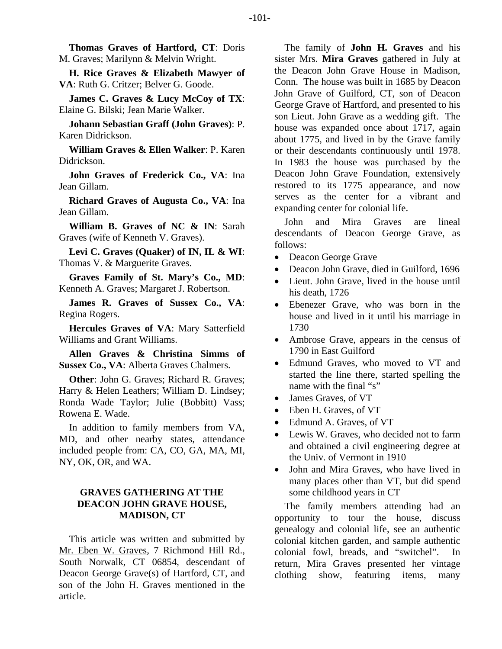**Thomas Graves of Hartford, CT**: Doris M. Graves; Marilynn & Melvin Wright.

**H. Rice Graves & Elizabeth Mawyer of VA**: Ruth G. Critzer; Belver G. Goode.

**James C. Graves & Lucy McCoy of TX**: Elaine G. Bilski; Jean Marie Walker.

**Johann Sebastian Graff (John Graves)**: P. Karen Didrickson.

**William Graves & Ellen Walker**: P. Karen Didrickson.

**John Graves of Frederick Co., VA**: Ina Jean Gillam.

**Richard Graves of Augusta Co., VA**: Ina Jean Gillam.

**William B. Graves of NC & IN**: Sarah Graves (wife of Kenneth V. Graves).

**Levi C. Graves (Quaker) of IN, IL & WI**: Thomas V. & Marguerite Graves.

**Graves Family of St. Mary's Co., MD**: Kenneth A. Graves; Margaret J. Robertson.

**James R. Graves of Sussex Co., VA**: Regina Rogers.

**Hercules Graves of VA**: Mary Satterfield Williams and Grant Williams.

**Allen Graves & Christina Simms of Sussex Co., VA**: Alberta Graves Chalmers.

**Other**: John G. Graves; Richard R. Graves; Harry & Helen Leathers; William D. Lindsey; Ronda Wade Taylor; Julie (Bobbitt) Vass; Rowena E. Wade.

In addition to family members from VA, MD, and other nearby states, attendance included people from: CA, CO, GA, MA, MI, NY, OK, OR, and WA.

# **GRAVES GATHERING AT THE DEACON JOHN GRAVE HOUSE, MADISON, CT**

This article was written and submitted by Mr. Eben W. Graves, 7 Richmond Hill Rd., South Norwalk, CT 06854, descendant of Deacon George Grave(s) of Hartford, CT, and son of the John H. Graves mentioned in the article.

The family of **John H. Graves** and his sister Mrs. **Mira Graves** gathered in July at the Deacon John Grave House in Madison, Conn. The house was built in 1685 by Deacon John Grave of Guilford, CT, son of Deacon George Grave of Hartford, and presented to his son Lieut. John Grave as a wedding gift. The house was expanded once about 1717, again about 1775, and lived in by the Grave family or their descendants continuously until 1978. In 1983 the house was purchased by the Deacon John Grave Foundation, extensively restored to its 1775 appearance, and now serves as the center for a vibrant and expanding center for colonial life.

John and Mira Graves are lineal descendants of Deacon George Grave, as follows:

- Deacon George Grave
- Deacon John Grave, died in Guilford, 1696
- Lieut. John Grave, lived in the house until his death, 1726
- Ebenezer Grave, who was born in the house and lived in it until his marriage in 1730
- Ambrose Grave, appears in the census of 1790 in East Guilford
- Edmund Graves, who moved to VT and started the line there, started spelling the name with the final "s"
- James Graves, of VT
- Eben H. Graves, of VT
- Edmund A. Graves, of VT
- Lewis W. Graves, who decided not to farm and obtained a civil engineering degree at the Univ. of Vermont in 1910
- John and Mira Graves, who have lived in many places other than VT, but did spend some childhood years in CT

The family members attending had an opportunity to tour the house, discuss genealogy and colonial life, see an authentic colonial kitchen garden, and sample authentic colonial fowl, breads, and "switchel". In return, Mira Graves presented her vintage clothing show, featuring items, many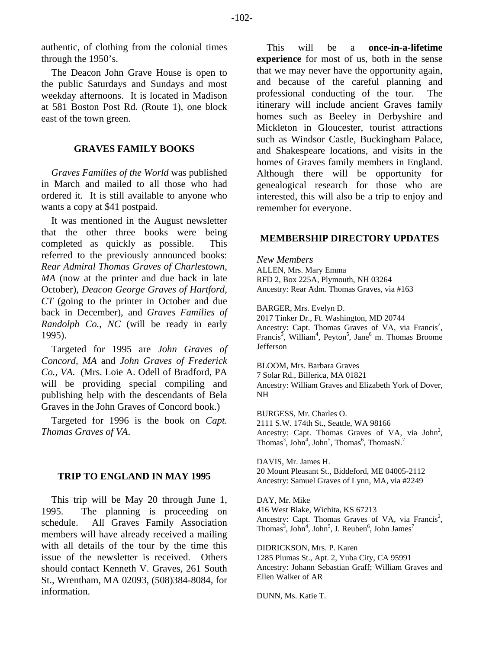authentic, of clothing from the colonial times through the 1950's.

The Deacon John Grave House is open to the public Saturdays and Sundays and most weekday afternoons. It is located in Madison at 581 Boston Post Rd. (Route 1), one block east of the town green.

#### **GRAVES FAMILY BOOKS**

*Graves Families of the World* was published in March and mailed to all those who had ordered it. It is still available to anyone who wants a copy at \$41 postpaid.

It was mentioned in the August newsletter that the other three books were being completed as quickly as possible. This referred to the previously announced books: *Rear Admiral Thomas Graves of Charlestown, MA* (now at the printer and due back in late October), *Deacon George Graves of Hartford, CT* (going to the printer in October and due back in December), and *Graves Families of Randolph Co., NC* (will be ready in early 1995).

Targeted for 1995 are *John Graves of Concord, MA* and *John Graves of Frederick Co., VA*. (Mrs. Loie A. Odell of Bradford, PA will be providing special compiling and publishing help with the descendants of Bela Graves in the John Graves of Concord book.)

Targeted for 1996 is the book on *Capt. Thomas Graves of VA*.

#### **TRIP TO ENGLAND IN MAY 1995**

This trip will be May 20 through June 1, 1995. The planning is proceeding on schedule. All Graves Family Association members will have already received a mailing with all details of the tour by the time this issue of the newsletter is received. Others should contact Kenneth V. Graves, 261 South St., Wrentham, MA 02093, (508)384-8084, for information.

This will be a **once-in-a-lifetime experience** for most of us, both in the sense that we may never have the opportunity again, and because of the careful planning and professional conducting of the tour. The itinerary will include ancient Graves family homes such as Beeley in Derbyshire and Mickleton in Gloucester, tourist attractions such as Windsor Castle, Buckingham Palace, and Shakespeare locations, and visits in the homes of Graves family members in England. Although there will be opportunity for genealogical research for those who are interested, this will also be a trip to enjoy and remember for everyone.

#### **MEMBERSHIP DIRECTORY UPDATES**

*New Members*  ALLEN, Mrs. Mary Emma RFD 2, Box 225A, Plymouth, NH 03264 Ancestry: Rear Adm. Thomas Graves, via #163

BARGER, Mrs. Evelyn D. 2017 Tinker Dr., Ft. Washington, MD 20744 Ancestry: Capt. Thomas Graves of VA, via Francis<sup>2</sup>, Francis<sup>3</sup>, William<sup>4</sup>, Peyton<sup>5</sup>, Jane<sup>6</sup> m. Thomas Broome Jefferson

BLOOM, Mrs. Barbara Graves 7 Solar Rd., Billerica, MA 01821 Ancestry: William Graves and Elizabeth York of Dover, NH

BURGESS, Mr. Charles O. 2111 S.W. 174th St., Seattle, WA 98166 Ancestry: Capt. Thomas Graves of VA, via  $John<sup>2</sup>$ , Thomas<sup>3</sup>, John<sup>5</sup>, John<sup>5</sup>, Thomas<sup>6</sup>, ThomasN.<sup>7</sup>

DAVIS, Mr. James H. 20 Mount Pleasant St., Biddeford, ME 04005-2112 Ancestry: Samuel Graves of Lynn, MA, via #2249

DAY, Mr. Mike 416 West Blake, Wichita, KS 67213 Ancestry: Capt. Thomas Graves of VA, via Francis<sup>2</sup>, Thomas<sup>3</sup>, John<sup>4</sup>, John<sup>5</sup>, J. Reuben<sup>6</sup>, John James<sup>7</sup>

DIDRICKSON, Mrs. P. Karen 1285 Plumas St., Apt. 2, Yuba City, CA 95991 Ancestry: Johann Sebastian Graff; William Graves and Ellen Walker of AR

DUNN, Ms. Katie T.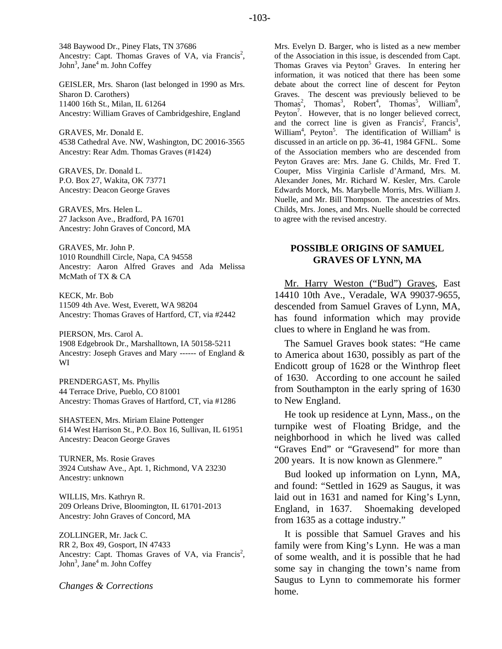348 Baywood Dr., Piney Flats, TN 37686 Ancestry: Capt. Thomas Graves of VA, via Francis<sup>2</sup>, John<sup>3</sup>, Jane<sup>4</sup> m. John Coffey

GEISLER, Mrs. Sharon (last belonged in 1990 as Mrs. Sharon D. Carothers) 11400 16th St., Milan, IL 61264 Ancestry: William Graves of Cambridgeshire, England

GRAVES, Mr. Donald E. 4538 Cathedral Ave. NW, Washington, DC 20016-3565 Ancestry: Rear Adm. Thomas Graves (#1424)

GRAVES, Dr. Donald L. P.O. Box 27, Wakita, OK 73771 Ancestry: Deacon George Graves

GRAVES, Mrs. Helen L. 27 Jackson Ave., Bradford, PA 16701 Ancestry: John Graves of Concord, MA

GRAVES, Mr. John P. 1010 Roundhill Circle, Napa, CA 94558 Ancestry: Aaron Alfred Graves and Ada Melissa McMath of TX & CA

KECK, Mr. Bob 11509 4th Ave. West, Everett, WA 98204 Ancestry: Thomas Graves of Hartford, CT, via #2442

PIERSON, Mrs. Carol A. 1908 Edgebrook Dr., Marshalltown, IA 50158-5211 Ancestry: Joseph Graves and Mary ------ of England & WI

PRENDERGAST, Ms. Phyllis 44 Terrace Drive, Pueblo, CO 81001 Ancestry: Thomas Graves of Hartford, CT, via #1286

SHASTEEN, Mrs. Miriam Elaine Pottenger 614 West Harrison St., P.O. Box 16, Sullivan, IL 61951 Ancestry: Deacon George Graves

TURNER, Ms. Rosie Graves 3924 Cutshaw Ave., Apt. 1, Richmond, VA 23230 Ancestry: unknown

WILLIS, Mrs. Kathryn R. 209 Orleans Drive, Bloomington, IL 61701-2013 Ancestry: John Graves of Concord, MA

ZOLLINGER, Mr. Jack C. RR 2, Box 49, Gosport, IN 47433 Ancestry: Capt. Thomas Graves of VA, via Francis<sup>2</sup>, John<sup>3</sup>, Jane<sup>4</sup> m. John Coffey

*Changes & Corrections* 

Mrs. Evelyn D. Barger, who is listed as a new member of the Association in this issue, is descended from Capt. Thomas Graves via Peyton<sup>5</sup> Graves. In entering her information, it was noticed that there has been some debate about the correct line of descent for Peyton Graves. The descent was previously believed to be Thomas<sup>2</sup>, Thomas<sup>3</sup>, Robert<sup>4</sup>, Thomas<sup>5</sup>, William<sup>6</sup>, Peyton<sup>7</sup>. However, that is no longer believed correct, and the correct line is given as Francis<sup>2</sup>, Francis<sup>3</sup>, William<sup>4</sup>, Peyton<sup>5</sup>. The identification of William<sup>4</sup> is discussed in an article on pp. 36-41, 1984 GFNL. Some of the Association members who are descended from Peyton Graves are: Mrs. Jane G. Childs, Mr. Fred T. Couper, Miss Virginia Carlisle d'Armand, Mrs. M. Alexander Jones, Mr. Richard W. Kesler, Mrs. Carole Edwards Morck, Ms. Marybelle Morris, Mrs. William J. Nuelle, and Mr. Bill Thompson. The ancestries of Mrs. Childs, Mrs. Jones, and Mrs. Nuelle should be corrected to agree with the revised ancestry.

## **POSSIBLE ORIGINS OF SAMUEL GRAVES OF LYNN, MA**

Mr. Harry Weston ("Bud") Graves, East 14410 10th Ave., Veradale, WA 99037-9655, descended from Samuel Graves of Lynn, MA, has found information which may provide clues to where in England he was from.

The Samuel Graves book states: "He came to America about 1630, possibly as part of the Endicott group of 1628 or the Winthrop fleet of 1630. According to one account he sailed from Southampton in the early spring of 1630 to New England.

He took up residence at Lynn, Mass., on the turnpike west of Floating Bridge, and the neighborhood in which he lived was called "Graves End" or "Gravesend" for more than 200 years. It is now known as Glenmere."

Bud looked up information on Lynn, MA, and found: "Settled in 1629 as Saugus, it was laid out in 1631 and named for King's Lynn, England, in 1637. Shoemaking developed from 1635 as a cottage industry."

It is possible that Samuel Graves and his family were from King's Lynn. He was a man of some wealth, and it is possible that he had some say in changing the town's name from Saugus to Lynn to commemorate his former home.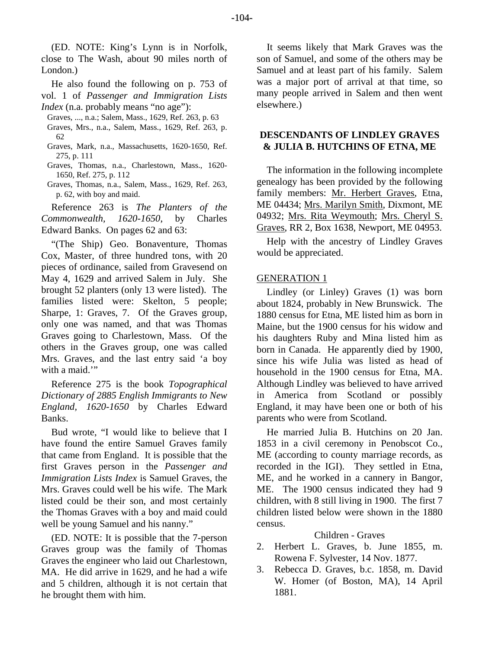(ED. NOTE: King's Lynn is in Norfolk, close to The Wash, about 90 miles north of London.)

He also found the following on p. 753 of vol. 1 of *Passenger and Immigration Lists Index* (n.a. probably means "no age"):

- Graves, ..., n.a.; Salem, Mass., 1629, Ref. 263, p. 63 Graves, Mrs., n.a., Salem, Mass., 1629, Ref. 263, p. 62
- Graves, Mark, n.a., Massachusetts, 1620-1650, Ref. 275, p. 111
- Graves, Thomas, n.a., Charlestown, Mass., 1620- 1650, Ref. 275, p. 112
- Graves, Thomas, n.a., Salem, Mass., 1629, Ref. 263, p. 62, with boy and maid.

Reference 263 is *The Planters of the Commonwealth, 1620-1650*, by Charles Edward Banks. On pages 62 and 63:

"(The Ship) Geo. Bonaventure, Thomas Cox, Master, of three hundred tons, with 20 pieces of ordinance, sailed from Gravesend on May 4, 1629 and arrived Salem in July. She brought 52 planters (only 13 were listed). The families listed were: Skelton, 5 people; Sharpe, 1: Graves, 7. Of the Graves group, only one was named, and that was Thomas Graves going to Charlestown, Mass. Of the others in the Graves group, one was called Mrs. Graves, and the last entry said 'a boy with a maid."

Reference 275 is the book *Topographical Dictionary of 2885 English Immigrants to New England, 1620-1650* by Charles Edward Banks.

Bud wrote, "I would like to believe that I have found the entire Samuel Graves family that came from England. It is possible that the first Graves person in the *Passenger and Immigration Lists Index* is Samuel Graves, the Mrs. Graves could well be his wife. The Mark listed could be their son, and most certainly the Thomas Graves with a boy and maid could well be young Samuel and his nanny."

(ED. NOTE: It is possible that the 7-person Graves group was the family of Thomas Graves the engineer who laid out Charlestown, MA. He did arrive in 1629, and he had a wife and 5 children, although it is not certain that he brought them with him.

It seems likely that Mark Graves was the son of Samuel, and some of the others may be Samuel and at least part of his family. Salem was a major port of arrival at that time, so many people arrived in Salem and then went elsewhere.)

# **DESCENDANTS OF LINDLEY GRAVES & JULIA B. HUTCHINS OF ETNA, ME**

The information in the following incomplete genealogy has been provided by the following family members: Mr. Herbert Graves, Etna, ME 04434; Mrs. Marilyn Smith, Dixmont, ME 04932; Mrs. Rita Weymouth; Mrs. Cheryl S. Graves, RR 2, Box 1638, Newport, ME 04953.

Help with the ancestry of Lindley Graves would be appreciated.

## GENERATION 1

Lindley (or Linley) Graves (1) was born about 1824, probably in New Brunswick. The 1880 census for Etna, ME listed him as born in Maine, but the 1900 census for his widow and his daughters Ruby and Mina listed him as born in Canada. He apparently died by 1900, since his wife Julia was listed as head of household in the 1900 census for Etna, MA. Although Lindley was believed to have arrived in America from Scotland or possibly England, it may have been one or both of his parents who were from Scotland.

He married Julia B. Hutchins on 20 Jan. 1853 in a civil ceremony in Penobscot Co., ME (according to county marriage records, as recorded in the IGI). They settled in Etna, ME, and he worked in a cannery in Bangor, ME. The 1900 census indicated they had 9 children, with 8 still living in 1900. The first 7 children listed below were shown in the 1880 census.

## Children - Graves

- 2. Herbert L. Graves, b. June 1855, m. Rowena F. Sylvester, 14 Nov. 1877.
- 3. Rebecca D. Graves, b.c. 1858, m. David W. Homer (of Boston, MA), 14 April 1881.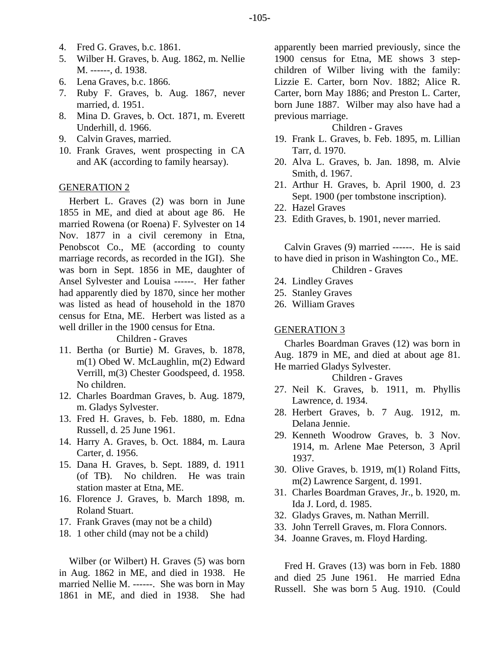- 4. Fred G. Graves, b.c. 1861.
- 5. Wilber H. Graves, b. Aug. 1862, m. Nellie M. ------, d. 1938.
- 6. Lena Graves, b.c. 1866.
- 7. Ruby F. Graves, b. Aug. 1867, never married, d. 1951.
- 8. Mina D. Graves, b. Oct. 1871, m. Everett Underhill, d. 1966.
- 9. Calvin Graves, married.
- 10. Frank Graves, went prospecting in CA and AK (according to family hearsay).

## GENERATION 2

Herbert L. Graves (2) was born in June 1855 in ME, and died at about age 86. He married Rowena (or Roena) F. Sylvester on 14 Nov. 1877 in a civil ceremony in Etna, Penobscot Co., ME (according to county marriage records, as recorded in the IGI). She was born in Sept. 1856 in ME, daughter of Ansel Sylvester and Louisa ------. Her father had apparently died by 1870, since her mother was listed as head of household in the 1870 census for Etna, ME. Herbert was listed as a well driller in the 1900 census for Etna.

Children - Graves

- 11. Bertha (or Burtie) M. Graves, b. 1878, m(1) Obed W. McLaughlin, m(2) Edward Verrill, m(3) Chester Goodspeed, d. 1958. No children.
- 12. Charles Boardman Graves, b. Aug. 1879, m. Gladys Sylvester.
- 13. Fred H. Graves, b. Feb. 1880, m. Edna Russell, d. 25 June 1961.
- 14. Harry A. Graves, b. Oct. 1884, m. Laura Carter, d. 1956.
- 15. Dana H. Graves, b. Sept. 1889, d. 1911 (of TB). No children. He was train station master at Etna, ME.
- 16. Florence J. Graves, b. March 1898, m. Roland Stuart.
- 17. Frank Graves (may not be a child)
- 18. 1 other child (may not be a child)

Wilber (or Wilbert) H. Graves (5) was born in Aug. 1862 in ME, and died in 1938. He married Nellie M. ------. She was born in May 1861 in ME, and died in 1938. She had apparently been married previously, since the 1900 census for Etna, ME shows 3 stepchildren of Wilber living with the family: Lizzie E. Carter, born Nov. 1882; Alice R. Carter, born May 1886; and Preston L. Carter, born June 1887. Wilber may also have had a previous marriage.

#### Children - Graves

- 19. Frank L. Graves, b. Feb. 1895, m. Lillian Tarr, d. 1970.
- 20. Alva L. Graves, b. Jan. 1898, m. Alvie Smith, d. 1967.
- 21. Arthur H. Graves, b. April 1900, d. 23 Sept. 1900 (per tombstone inscription).
- 22. Hazel Graves
- 23. Edith Graves, b. 1901, never married.

Calvin Graves (9) married ------. He is said to have died in prison in Washington Co., ME.

- Children Graves
- 24. Lindley Graves
- 25. Stanley Graves
- 26. William Graves

#### GENERATION 3

Charles Boardman Graves (12) was born in Aug. 1879 in ME, and died at about age 81. He married Gladys Sylvester.

## Children - Graves

- 27. Neil K. Graves, b. 1911, m. Phyllis Lawrence, d. 1934.
- 28. Herbert Graves, b. 7 Aug. 1912, m. Delana Jennie.
- 29. Kenneth Woodrow Graves, b. 3 Nov. 1914, m. Arlene Mae Peterson, 3 April 1937.
- 30. Olive Graves, b. 1919, m(1) Roland Fitts, m(2) Lawrence Sargent, d. 1991.
- 31. Charles Boardman Graves, Jr., b. 1920, m. Ida J. Lord, d. 1985.
- 32. Gladys Graves, m. Nathan Merrill.
- 33. John Terrell Graves, m. Flora Connors.
- 34. Joanne Graves, m. Floyd Harding.

Fred H. Graves (13) was born in Feb. 1880 and died 25 June 1961. He married Edna Russell. She was born 5 Aug. 1910. (Could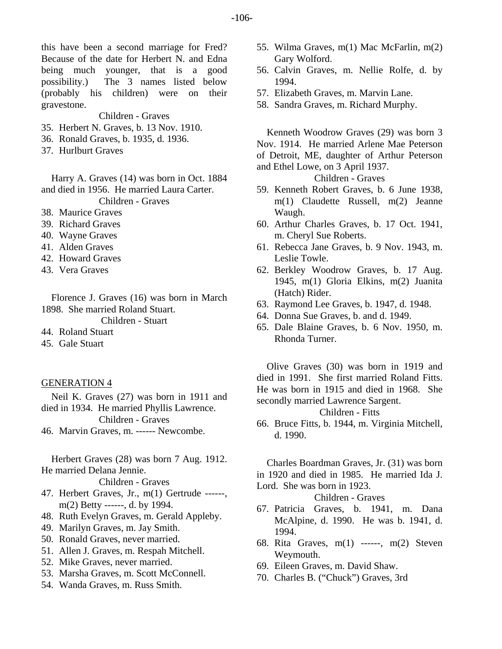this have been a second marriage for Fred? Because of the date for Herbert N. and Edna being much younger, that is a good possibility.) The 3 names listed below (probably his children) were on their gravestone.

Children - Graves

- 35. Herbert N. Graves, b. 13 Nov. 1910.
- 36. Ronald Graves, b. 1935, d. 1936.
- 37. Hurlburt Graves

Harry A. Graves (14) was born in Oct. 1884 and died in 1956. He married Laura Carter.

Children - Graves

- 38. Maurice Graves
- 39. Richard Graves
- 40. Wayne Graves
- 41. Alden Graves
- 42. Howard Graves
- 43. Vera Graves

Florence J. Graves (16) was born in March 1898. She married Roland Stuart. Children - Stuart

- 44. Roland Stuart
- 45. Gale Stuart
- GENERATION 4

Neil K. Graves (27) was born in 1911 and died in 1934. He married Phyllis Lawrence.

Children - Graves

46. Marvin Graves, m. ------ Newcombe.

Herbert Graves (28) was born 7 Aug. 1912. He married Delana Jennie.

Children - Graves

- 47. Herbert Graves, Jr., m(1) Gertrude ------, m(2) Betty ------, d. by 1994.
- 48. Ruth Evelyn Graves, m. Gerald Appleby.
- 49. Marilyn Graves, m. Jay Smith.
- 50. Ronald Graves, never married.
- 51. Allen J. Graves, m. Respah Mitchell.
- 52. Mike Graves, never married.
- 53. Marsha Graves, m. Scott McConnell.
- 54. Wanda Graves, m. Russ Smith.
- 55. Wilma Graves, m(1) Mac McFarlin, m(2) Gary Wolford.
- 56. Calvin Graves, m. Nellie Rolfe, d. by 1994.
- 57. Elizabeth Graves, m. Marvin Lane.
- 58. Sandra Graves, m. Richard Murphy.

Kenneth Woodrow Graves (29) was born 3 Nov. 1914. He married Arlene Mae Peterson of Detroit, ME, daughter of Arthur Peterson and Ethel Lowe, on 3 April 1937.

Children - Graves

- 59. Kenneth Robert Graves, b. 6 June 1938, m(1) Claudette Russell, m(2) Jeanne Waugh.
- 60. Arthur Charles Graves, b. 17 Oct. 1941, m. Cheryl Sue Roberts.
- 61. Rebecca Jane Graves, b. 9 Nov. 1943, m. Leslie Towle.
- 62. Berkley Woodrow Graves, b. 17 Aug. 1945, m(1) Gloria Elkins, m(2) Juanita (Hatch) Rider.
- 63. Raymond Lee Graves, b. 1947, d. 1948.
- 64. Donna Sue Graves, b. and d. 1949.
- 65. Dale Blaine Graves, b. 6 Nov. 1950, m. Rhonda Turner.

Olive Graves (30) was born in 1919 and died in 1991. She first married Roland Fitts. He was born in 1915 and died in 1968. She secondly married Lawrence Sargent.

Children - Fitts

66. Bruce Fitts, b. 1944, m. Virginia Mitchell, d. 1990.

Charles Boardman Graves, Jr. (31) was born in 1920 and died in 1985. He married Ida J. Lord. She was born in 1923.

Children - Graves

- 67. Patricia Graves, b. 1941, m. Dana McAlpine, d. 1990. He was b. 1941, d. 1994.
- 68. Rita Graves, m(1) ------, m(2) Steven Weymouth.
- 69. Eileen Graves, m. David Shaw.
- 70. Charles B. ("Chuck") Graves, 3rd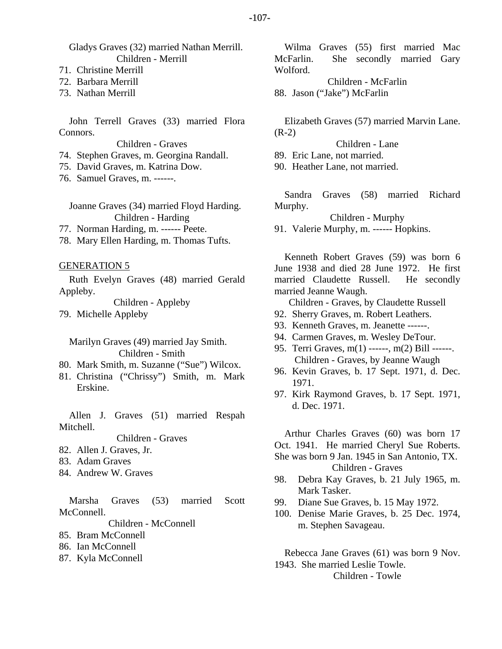Gladys Graves (32) married Nathan Merrill. Children - Merrill

71. Christine Merrill

72. Barbara Merrill

73. Nathan Merrill

John Terrell Graves (33) married Flora Connors.

Children - Graves

74. Stephen Graves, m. Georgina Randall.

75. David Graves, m. Katrina Dow.

76. Samuel Graves, m. ------.

Joanne Graves (34) married Floyd Harding. Children - Harding

77. Norman Harding, m. ------ Peete.

78. Mary Ellen Harding, m. Thomas Tufts.

## GENERATION 5

Ruth Evelyn Graves (48) married Gerald Appleby.

Children - Appleby 79. Michelle Appleby

Marilyn Graves (49) married Jay Smith. Children - Smith

- 80. Mark Smith, m. Suzanne ("Sue") Wilcox.
- 81. Christina ("Chrissy") Smith, m. Mark Erskine.

Allen J. Graves (51) married Respah Mitchell.

Children - Graves

- 82. Allen J. Graves, Jr.
- 83. Adam Graves
- 84. Andrew W. Graves

Marsha Graves (53) married Scott McConnell.

Children - McConnell

- 85. Bram McConnell
- 86. Ian McConnell
- 87. Kyla McConnell

Wilma Graves (55) first married Mac McFarlin. She secondly married Gary Wolford.

Children - McFarlin 88. Jason ("Jake") McFarlin

Elizabeth Graves (57) married Marvin Lane. (R-2)

Children - Lane

89. Eric Lane, not married.

90. Heather Lane, not married.

Sandra Graves (58) married Richard Murphy.

Children - Murphy

91. Valerie Murphy, m. ------ Hopkins.

Kenneth Robert Graves (59) was born 6 June 1938 and died 28 June 1972. He first married Claudette Russell. He secondly married Jeanne Waugh.

Children - Graves, by Claudette Russell

- 92. Sherry Graves, m. Robert Leathers.
- 93. Kenneth Graves, m. Jeanette ------.
- 94. Carmen Graves, m. Wesley DeTour.
- 95. Terri Graves, m(1) ------, m(2) Bill ------. Children - Graves, by Jeanne Waugh
- 96. Kevin Graves, b. 17 Sept. 1971, d. Dec. 1971.
- 97. Kirk Raymond Graves, b. 17 Sept. 1971, d. Dec. 1971.

Arthur Charles Graves (60) was born 17 Oct. 1941. He married Cheryl Sue Roberts.

She was born 9 Jan. 1945 in San Antonio, TX.

Children - Graves

- 98. Debra Kay Graves, b. 21 July 1965, m. Mark Tasker.
- 99. Diane Sue Graves, b. 15 May 1972.
- 100. Denise Marie Graves, b. 25 Dec. 1974, m. Stephen Savageau.

Rebecca Jane Graves (61) was born 9 Nov. 1943. She married Leslie Towle. Children - Towle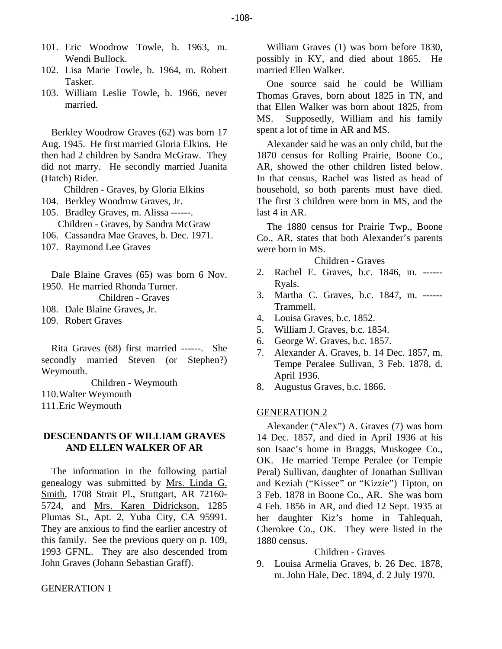-108-

- 101. Eric Woodrow Towle, b. 1963, m. Wendi Bullock.
- 102. Lisa Marie Towle, b. 1964, m. Robert Tasker.
- 103. William Leslie Towle, b. 1966, never married.

Berkley Woodrow Graves (62) was born 17 Aug. 1945. He first married Gloria Elkins. He then had 2 children by Sandra McGraw. They did not marry. He secondly married Juanita (Hatch) Rider.

Children - Graves, by Gloria Elkins

- 104. Berkley Woodrow Graves, Jr.
- 105. Bradley Graves, m. Alissa ------. Children - Graves, by Sandra McGraw
- 106. Cassandra Mae Graves, b. Dec. 1971.
- 107. Raymond Lee Graves

Dale Blaine Graves (65) was born 6 Nov. 1950. He married Rhonda Turner.

Children - Graves

108. Dale Blaine Graves, Jr.

109. Robert Graves

Rita Graves (68) first married ------. She secondly married Steven (or Stephen?) Weymouth.

Children - Weymouth

110. Walter Weymouth

111. Eric Weymouth

# **DESCENDANTS OF WILLIAM GRAVES AND ELLEN WALKER OF AR**

The information in the following partial genealogy was submitted by Mrs. Linda G. Smith, 1708 Strait Pl., Stuttgart, AR 72160- 5724, and Mrs. Karen Didrickson, 1285 Plumas St., Apt. 2, Yuba City, CA 95991. They are anxious to find the earlier ancestry of this family. See the previous query on p. 109, 1993 GFNL. They are also descended from John Graves (Johann Sebastian Graff).

#### GENERATION 1

William Graves (1) was born before 1830, possibly in KY, and died about 1865. He married Ellen Walker.

One source said he could be William Thomas Graves, born about 1825 in TN, and that Ellen Walker was born about 1825, from MS. Supposedly, William and his family spent a lot of time in AR and MS.

Alexander said he was an only child, but the 1870 census for Rolling Prairie, Boone Co., AR, showed the other children listed below. In that census, Rachel was listed as head of household, so both parents must have died. The first 3 children were born in MS, and the last 4 in AR.

The 1880 census for Prairie Twp., Boone Co., AR, states that both Alexander's parents were born in MS.

#### Children - Graves

- 2. Rachel E. Graves, b.c. 1846, m. ------ Ryals.
- 3. Martha C. Graves, b.c. 1847, m. ------ Trammell.
- 4. Louisa Graves, b.c. 1852.
- 5. William J. Graves, b.c. 1854.
- 6. George W. Graves, b.c. 1857.
- 7. Alexander A. Graves, b. 14 Dec. 1857, m. Tempe Peralee Sullivan, 3 Feb. 1878, d. April 1936.
- 8. Augustus Graves, b.c. 1866.

#### GENERATION 2

Alexander ("Alex") A. Graves (7) was born 14 Dec. 1857, and died in April 1936 at his son Isaac's home in Braggs, Muskogee Co., OK. He married Tempe Peralee (or Tempie Peral) Sullivan, daughter of Jonathan Sullivan and Keziah ("Kissee" or "Kizzie") Tipton, on 3 Feb. 1878 in Boone Co., AR. She was born 4 Feb. 1856 in AR, and died 12 Sept. 1935 at her daughter Kiz's home in Tahlequah, Cherokee Co., OK. They were listed in the 1880 census.

Children - Graves

9. Louisa Armelia Graves, b. 26 Dec. 1878, m. John Hale, Dec. 1894, d. 2 July 1970.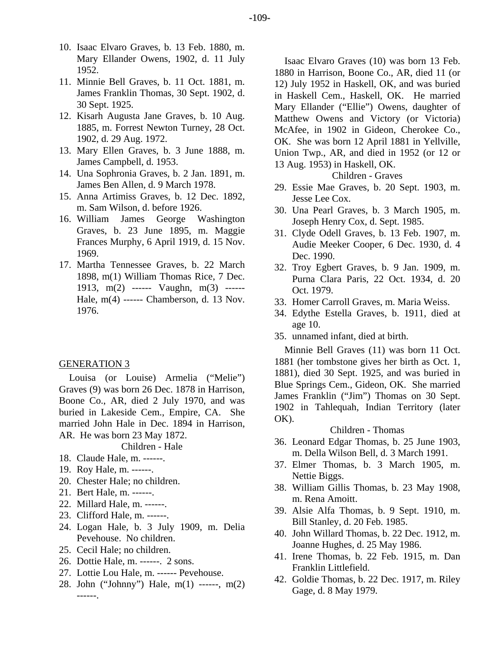- 10. Isaac Elvaro Graves, b. 13 Feb. 1880, m. Mary Ellander Owens, 1902, d. 11 July 1952.
- 11. Minnie Bell Graves, b. 11 Oct. 1881, m. James Franklin Thomas, 30 Sept. 1902, d. 30 Sept. 1925.
- 12. Kisarh Augusta Jane Graves, b. 10 Aug. 1885, m. Forrest Newton Turney, 28 Oct. 1902, d. 29 Aug. 1972.
- 13. Mary Ellen Graves, b. 3 June 1888, m. James Campbell, d. 1953.
- 14. Una Sophronia Graves, b. 2 Jan. 1891, m. James Ben Allen, d. 9 March 1978.
- 15. Anna Artimiss Graves, b. 12 Dec. 1892, m. Sam Wilson, d. before 1926.
- 16. William James George Washington Graves, b. 23 June 1895, m. Maggie Frances Murphy, 6 April 1919, d. 15 Nov. 1969.
- 17. Martha Tennessee Graves, b. 22 March 1898, m(1) William Thomas Rice, 7 Dec. 1913, m(2) ------ Vaughn, m(3) ------ Hale, m(4) ------ Chamberson, d. 13 Nov. 1976.

## GENERATION 3

Louisa (or Louise) Armelia ("Melie") Graves (9) was born 26 Dec. 1878 in Harrison, Boone Co., AR, died 2 July 1970, and was buried in Lakeside Cem., Empire, CA. She married John Hale in Dec. 1894 in Harrison, AR. He was born 23 May 1872.

#### Children - Hale

- 18. Claude Hale, m. ------.
- 19. Roy Hale, m. ------.
- 20. Chester Hale; no children.
- 21. Bert Hale, m. ------.
- 22. Millard Hale, m. ------.
- 23. Clifford Hale, m. ------.
- 24. Logan Hale, b. 3 July 1909, m. Delia Pevehouse. No children.
- 25. Cecil Hale; no children.
- 26. Dottie Hale, m. ------. 2 sons.
- 27. Lottie Lou Hale, m. ------ Pevehouse.
- 28. John ("Johnny") Hale, m(1) ------, m(2) ------.

Isaac Elvaro Graves (10) was born 13 Feb. 1880 in Harrison, Boone Co., AR, died 11 (or 12) July 1952 in Haskell, OK, and was buried in Haskell Cem., Haskell, OK. He married Mary Ellander ("Ellie") Owens, daughter of Matthew Owens and Victory (or Victoria) McAfee, in 1902 in Gideon, Cherokee Co., OK. She was born 12 April 1881 in Yellville, Union Twp., AR, and died in 1952 (or 12 or 13 Aug. 1953) in Haskell, OK.

#### Children - Graves

- 29. Essie Mae Graves, b. 20 Sept. 1903, m. Jesse Lee Cox.
- 30. Una Pearl Graves, b. 3 March 1905, m. Joseph Henry Cox, d. Sept. 1985.
- 31. Clyde Odell Graves, b. 13 Feb. 1907, m. Audie Meeker Cooper, 6 Dec. 1930, d. 4 Dec. 1990.
- 32. Troy Egbert Graves, b. 9 Jan. 1909, m. Purna Clara Paris, 22 Oct. 1934, d. 20 Oct. 1979.
- 33. Homer Carroll Graves, m. Maria Weiss.
- 34. Edythe Estella Graves, b. 1911, died at age 10.
- 35. unnamed infant, died at birth.

Minnie Bell Graves (11) was born 11 Oct. 1881 (her tombstone gives her birth as Oct. 1, 1881), died 30 Sept. 1925, and was buried in Blue Springs Cem., Gideon, OK. She married James Franklin ("Jim") Thomas on 30 Sept. 1902 in Tahlequah, Indian Territory (later OK).

#### Children - Thomas

- 36. Leonard Edgar Thomas, b. 25 June 1903, m. Della Wilson Bell, d. 3 March 1991.
- 37. Elmer Thomas, b. 3 March 1905, m. Nettie Biggs.
- 38. William Gillis Thomas, b. 23 May 1908, m. Rena Amoitt.
- 39. Alsie Alfa Thomas, b. 9 Sept. 1910, m. Bill Stanley, d. 20 Feb. 1985.
- 40. John Willard Thomas, b. 22 Dec. 1912, m. Joanne Hughes, d. 25 May 1986.
- 41. Irene Thomas, b. 22 Feb. 1915, m. Dan Franklin Littlefield.
- 42. Goldie Thomas, b. 22 Dec. 1917, m. Riley Gage, d. 8 May 1979.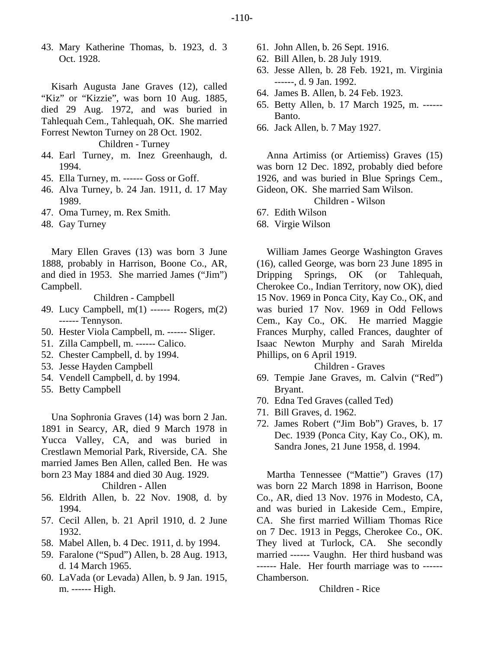43. Mary Katherine Thomas, b. 1923, d. 3 Oct. 1928.

Kisarh Augusta Jane Graves (12), called "Kiz" or "Kizzie", was born 10 Aug. 1885, died 29 Aug. 1972, and was buried in Tahlequah Cem., Tahlequah, OK. She married Forrest Newton Turney on 28 Oct. 1902.

Children - Turney

- 44. Earl Turney, m. Inez Greenhaugh, d. 1994.
- 45. Ella Turney, m. ------ Goss or Goff.
- 46. Alva Turney, b. 24 Jan. 1911, d. 17 May 1989.
- 47. Oma Turney, m. Rex Smith.
- 48. Gay Turney

Mary Ellen Graves (13) was born 3 June 1888, probably in Harrison, Boone Co., AR, and died in 1953. She married James ("Jim") Campbell.

Children - Campbell

- 49. Lucy Campbell, m(1) ------ Rogers, m(2) ------ Tennyson.
- 50. Hester Viola Campbell, m. ------ Sliger.
- 51. Zilla Campbell, m. ------ Calico.
- 52. Chester Campbell, d. by 1994.
- 53. Jesse Hayden Campbell
- 54. Vendell Campbell, d. by 1994.
- 55. Betty Campbell

Una Sophronia Graves (14) was born 2 Jan. 1891 in Searcy, AR, died 9 March 1978 in Yucca Valley, CA, and was buried in Crestlawn Memorial Park, Riverside, CA. She married James Ben Allen, called Ben. He was born 23 May 1884 and died 30 Aug. 1929.

## Children - Allen

- 56. Eldrith Allen, b. 22 Nov. 1908, d. by 1994.
- 57. Cecil Allen, b. 21 April 1910, d. 2 June 1932.
- 58. Mabel Allen, b. 4 Dec. 1911, d. by 1994.
- 59. Faralone ("Spud") Allen, b. 28 Aug. 1913, d. 14 March 1965.
- 60. LaVada (or Levada) Allen, b. 9 Jan. 1915, m. ------ High.
- 61. John Allen, b. 26 Sept. 1916.
- 62. Bill Allen, b. 28 July 1919.
- 63. Jesse Allen, b. 28 Feb. 1921, m. Virginia ------, d. 9 Jan. 1992.
- 64. James B. Allen, b. 24 Feb. 1923.
- 65. Betty Allen, b. 17 March 1925, m. ------ Banto.
- 66. Jack Allen, b. 7 May 1927.

Anna Artimiss (or Artiemiss) Graves (15) was born 12 Dec. 1892, probably died before 1926, and was buried in Blue Springs Cem., Gideon, OK. She married Sam Wilson.

Children - Wilson

- 67. Edith Wilson
- 68. Virgie Wilson

William James George Washington Graves (16), called George, was born 23 June 1895 in Dripping Springs, OK (or Tahlequah, Cherokee Co., Indian Territory, now OK), died 15 Nov. 1969 in Ponca City, Kay Co., OK, and was buried 17 Nov. 1969 in Odd Fellows Cem., Kay Co., OK. He married Maggie Frances Murphy, called Frances, daughter of Isaac Newton Murphy and Sarah Mirelda Phillips, on 6 April 1919.

## Children - Graves

- 69. Tempie Jane Graves, m. Calvin ("Red") Bryant.
- 70. Edna Ted Graves (called Ted)
- 71. Bill Graves, d. 1962.
- 72. James Robert ("Jim Bob") Graves, b. 17 Dec. 1939 (Ponca City, Kay Co., OK), m. Sandra Jones, 21 June 1958, d. 1994.

Martha Tennessee ("Mattie") Graves (17) was born 22 March 1898 in Harrison, Boone Co., AR, died 13 Nov. 1976 in Modesto, CA, and was buried in Lakeside Cem., Empire, CA. She first married William Thomas Rice on 7 Dec. 1913 in Peggs, Cherokee Co., OK. They lived at Turlock, CA. She secondly married ------ Vaughn. Her third husband was ------ Hale. Her fourth marriage was to ------ Chamberson.

#### Children - Rice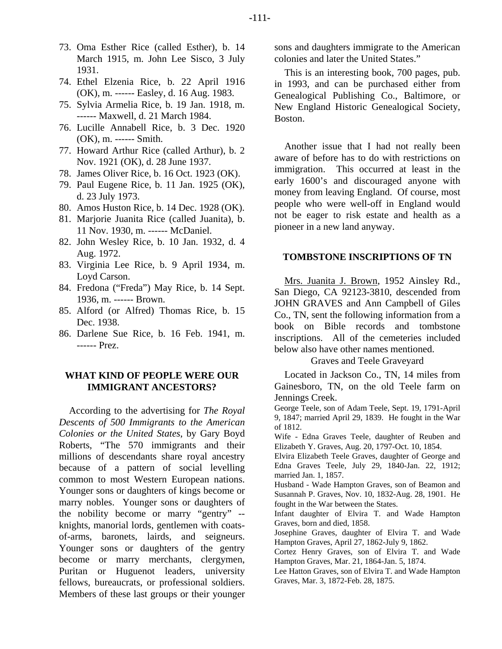- 73. Oma Esther Rice (called Esther), b. 14 March 1915, m. John Lee Sisco, 3 July 1931.
- 74. Ethel Elzenia Rice, b. 22 April 1916 (OK), m. ------ Easley, d. 16 Aug. 1983.
- 75. Sylvia Armelia Rice, b. 19 Jan. 1918, m. ------ Maxwell, d. 21 March 1984.
- 76. Lucille Annabell Rice, b. 3 Dec. 1920 (OK), m. ------ Smith.
- 77. Howard Arthur Rice (called Arthur), b. 2 Nov. 1921 (OK), d. 28 June 1937.
- 78. James Oliver Rice, b. 16 Oct. 1923 (OK).
- 79. Paul Eugene Rice, b. 11 Jan. 1925 (OK), d. 23 July 1973.
- 80. Amos Huston Rice, b. 14 Dec. 1928 (OK).
- 81. Marjorie Juanita Rice (called Juanita), b. 11 Nov. 1930, m. ------ McDaniel.
- 82. John Wesley Rice, b. 10 Jan. 1932, d. 4 Aug. 1972.
- 83. Virginia Lee Rice, b. 9 April 1934, m. Loyd Carson.
- 84. Fredona ("Freda") May Rice, b. 14 Sept. 1936, m. ------ Brown.
- 85. Alford (or Alfred) Thomas Rice, b. 15 Dec. 1938.
- 86. Darlene Sue Rice, b. 16 Feb. 1941, m. ------ Prez.

# **WHAT KIND OF PEOPLE WERE OUR IMMIGRANT ANCESTORS?**

According to the advertising for *The Royal Descents of 500 Immigrants to the American Colonies or the United States*, by Gary Boyd Roberts, "The 570 immigrants and their millions of descendants share royal ancestry because of a pattern of social levelling common to most Western European nations. Younger sons or daughters of kings become or marry nobles. Younger sons or daughters of the nobility become or marry "gentry" - knights, manorial lords, gentlemen with coatsof-arms, baronets, lairds, and seigneurs. Younger sons or daughters of the gentry become or marry merchants, clergymen, Puritan or Huguenot leaders, university fellows, bureaucrats, or professional soldiers. Members of these last groups or their younger sons and daughters immigrate to the American colonies and later the United States."

This is an interesting book, 700 pages, pub. in 1993, and can be purchased either from Genealogical Publishing Co., Baltimore, or New England Historic Genealogical Society, Boston.

Another issue that I had not really been aware of before has to do with restrictions on immigration. This occurred at least in the early 1600's and discouraged anyone with money from leaving England. Of course, most people who were well-off in England would not be eager to risk estate and health as a pioneer in a new land anyway.

#### **TOMBSTONE INSCRIPTIONS OF TN**

Mrs. Juanita J. Brown, 1952 Ainsley Rd., San Diego, CA 92123-3810, descended from JOHN GRAVES and Ann Campbell of Giles Co., TN, sent the following information from a book on Bible records and tombstone inscriptions. All of the cemeteries included below also have other names mentioned.

Graves and Teele Graveyard

Located in Jackson Co., TN, 14 miles from Gainesboro, TN, on the old Teele farm on Jennings Creek.

George Teele, son of Adam Teele, Sept. 19, 1791-April 9, 1847; married April 29, 1839. He fought in the War of 1812.

Wife - Edna Graves Teele, daughter of Reuben and Elizabeth Y. Graves, Aug. 20, 1797-Oct. 10, 1854.

Elvira Elizabeth Teele Graves, daughter of George and Edna Graves Teele, July 29, 1840-Jan. 22, 1912; married Jan. 1, 1857.

Husband - Wade Hampton Graves, son of Beamon and Susannah P. Graves, Nov. 10, 1832-Aug. 28, 1901. He fought in the War between the States.

Infant daughter of Elvira T. and Wade Hampton Graves, born and died, 1858.

Josephine Graves, daughter of Elvira T. and Wade Hampton Graves, April 27, 1862-July 9, 1862.

Cortez Henry Graves, son of Elvira T. and Wade Hampton Graves, Mar. 21, 1864-Jan. 5, 1874.

Lee Hatton Graves, son of Elvira T. and Wade Hampton Graves, Mar. 3, 1872-Feb. 28, 1875.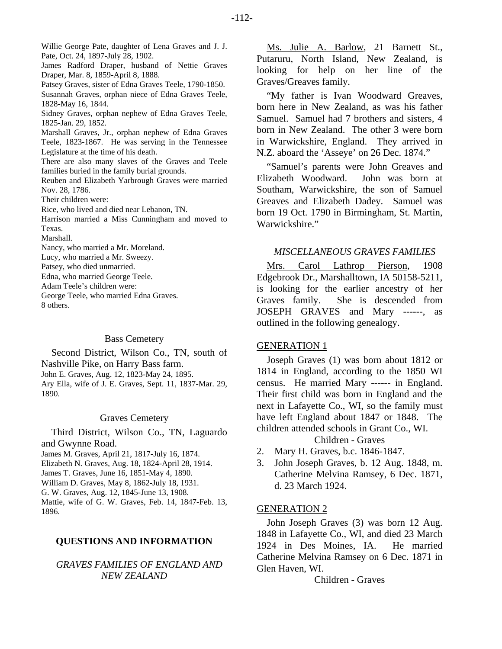Willie George Pate, daughter of Lena Graves and J. J. Pate, Oct. 24, 1897-July 28, 1902.

James Radford Draper, husband of Nettie Graves Draper, Mar. 8, 1859-April 8, 1888.

Patsey Graves, sister of Edna Graves Teele, 1790-1850. Susannah Graves, orphan niece of Edna Graves Teele, 1828-May 16, 1844.

Sidney Graves, orphan nephew of Edna Graves Teele, 1825-Jan. 29, 1852.

Marshall Graves, Jr., orphan nephew of Edna Graves Teele, 1823-1867. He was serving in the Tennessee Legislature at the time of his death.

There are also many slaves of the Graves and Teele families buried in the family burial grounds.

Reuben and Elizabeth Yarbrough Graves were married Nov. 28, 1786.

Their children were:

Rice, who lived and died near Lebanon, TN.

Harrison married a Miss Cunningham and moved to Texas.

Marshall.

Nancy, who married a Mr. Moreland.

Lucy, who married a Mr. Sweezy.

Patsey, who died unmarried.

Edna, who married George Teele.

Adam Teele's children were:

George Teele, who married Edna Graves. 8 others.

#### Bass Cemetery

Second District, Wilson Co., TN, south of Nashville Pike, on Harry Bass farm. John E. Graves, Aug. 12, 1823-May 24, 1895. Ary Ella, wife of J. E. Graves, Sept. 11, 1837-Mar. 29, 1890.

#### Graves Cemetery

Third District, Wilson Co., TN, Laguardo and Gwynne Road.

James M. Graves, April 21, 1817-July 16, 1874.

Elizabeth N. Graves, Aug. 18, 1824-April 28, 1914.

James T. Graves, June 16, 1851-May 4, 1890.

William D. Graves, May 8, 1862-July 18, 1931.

G. W. Graves, Aug. 12, 1845-June 13, 1908.

Mattie, wife of G. W. Graves, Feb. 14, 1847-Feb. 13, 1896.

# **QUESTIONS AND INFORMATION**

# *GRAVES FAMILIES OF ENGLAND AND NEW ZEALAND*

Ms. Julie A. Barlow, 21 Barnett St., Putaruru, North Island, New Zealand, is looking for help on her line of the Graves/Greaves family.

"My father is Ivan Woodward Greaves, born here in New Zealand, as was his father Samuel. Samuel had 7 brothers and sisters, 4 born in New Zealand. The other 3 were born in Warwickshire, England. They arrived in N.Z. aboard the 'Asseye' on 26 Dec. 1874."

"Samuel's parents were John Greaves and Elizabeth Woodward. John was born at Southam, Warwickshire, the son of Samuel Greaves and Elizabeth Dadey. Samuel was born 19 Oct. 1790 in Birmingham, St. Martin, Warwickshire."

#### *MISCELLANEOUS GRAVES FAMILIES*

Mrs. Carol Lathrop Pierson, 1908 Edgebrook Dr., Marshalltown, IA 50158-5211, is looking for the earlier ancestry of her Graves family. She is descended from JOSEPH GRAVES and Mary ------, as outlined in the following genealogy.

#### GENERATION 1

Joseph Graves (1) was born about 1812 or 1814 in England, according to the 1850 WI census. He married Mary ------ in England. Their first child was born in England and the next in Lafayette Co., WI, so the family must have left England about 1847 or 1848. The children attended schools in Grant Co., WI.

Children - Graves

- 2. Mary H. Graves, b.c. 1846-1847.
- 3. John Joseph Graves, b. 12 Aug. 1848, m. Catherine Melvina Ramsey, 6 Dec. 1871, d. 23 March 1924.

#### GENERATION 2

John Joseph Graves (3) was born 12 Aug. 1848 in Lafayette Co., WI, and died 23 March 1924 in Des Moines, IA. He married Catherine Melvina Ramsey on 6 Dec. 1871 in Glen Haven, WI.

Children - Graves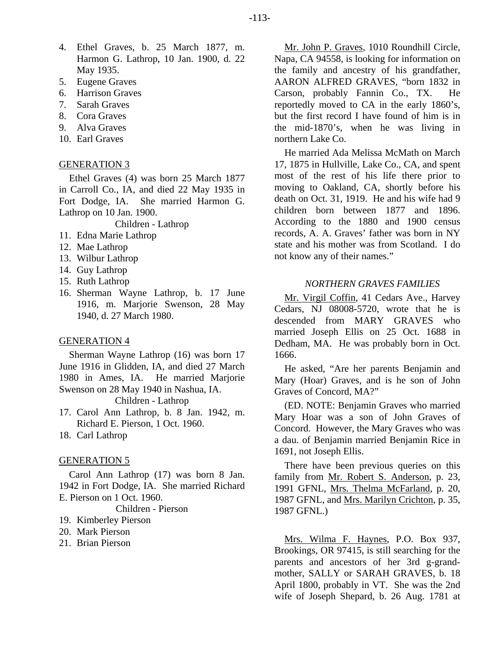- 4. Ethel Graves, b. 25 March 1877, m. Harmon G. Lathrop, 10 Jan. 1900, d. 22 May 1935.
- 5. Eugene Graves
- 6. Harrison Graves
- 7. Sarah Graves
- 8. Cora Graves
- 9. Alva Graves
- 10. Earl Graves

# GENERATION 3

Ethel Graves (4) was born 25 March 1877 in Carroll Co., IA, and died 22 May 1935 in Fort Dodge, IA. She married Harmon G. Lathrop on 10 Jan. 1900.

Children - Lathrop

- 11. Edna Marie Lathrop
- 12. Mae Lathrop
- 13. Wilbur Lathrop
- 14. Guy Lathrop
- 15. Ruth Lathrop
- 16. Sherman Wayne Lathrop, b. 17 June 1916, m. Marjorie Swenson, 28 May 1940, d. 27 March 1980.

#### GENERATION 4

Sherman Wayne Lathrop (16) was born 17 June 1916 in Glidden, IA, and died 27 March 1980 in Ames, IA. He married Marjorie Swenson on 28 May 1940 in Nashua, IA. Children - Lathrop

- 17. Carol Ann Lathrop, b. 8 Jan. 1942, m. Richard E. Pierson, 1 Oct. 1960.
- 18. Carl Lathrop

# GENERATION 5

Carol Ann Lathrop (17) was born 8 Jan. 1942 in Fort Dodge, IA. She married Richard E. Pierson on 1 Oct. 1960.

Children - Pierson

- 19. Kimberley Pierson
- 20. Mark Pierson
- 21. Brian Pierson

Mr. John P. Graves, 1010 Roundhill Circle, Napa, CA 94558, is looking for information on the family and ancestry of his grandfather, AARON ALFRED GRAVES, "born 1832 in Carson, probably Fannin Co., TX. He reportedly moved to CA in the early 1860's, but the first record I have found of him is in the mid-1870's, when he was living in northern Lake Co.

He married Ada Melissa McMath on March 17, 1875 in Hullville, Lake Co., CA, and spent most of the rest of his life there prior to moving to Oakland, CA, shortly before his death on Oct. 31, 1919. He and his wife had 9 children born between 1877 and 1896. According to the 1880 and 1900 census records, A. A. Graves' father was born in NY state and his mother was from Scotland. I do not know any of their names."

## *NORTHERN GRAVES FAMILIES*

Mr. Virgil Coffin, 41 Cedars Ave., Harvey Cedars, NJ 08008-5720, wrote that he is descended from MARY GRAVES who married Joseph Ellis on 25 Oct. 1688 in Dedham, MA. He was probably born in Oct. 1666.

He asked, "Are her parents Benjamin and Mary (Hoar) Graves, and is he son of John Graves of Concord, MA?"

(ED. NOTE: Benjamin Graves who married Mary Hoar was a son of John Graves of Concord. However, the Mary Graves who was a dau. of Benjamin married Benjamin Rice in 1691, not Joseph Ellis.

There have been previous queries on this family from Mr. Robert S. Anderson, p. 23, 1991 GFNL, Mrs. Thelma McFarland, p. 20, 1987 GFNL, and Mrs. Marilyn Crichton, p. 35, 1987 GFNL.)

Mrs. Wilma F. Haynes, P.O. Box 937, Brookings, OR 97415, is still searching for the parents and ancestors of her 3rd g-grandmother, SALLY or SARAH GRAVES, b. 18 April 1800, probably in VT. She was the 2nd wife of Joseph Shepard, b. 26 Aug. 1781 at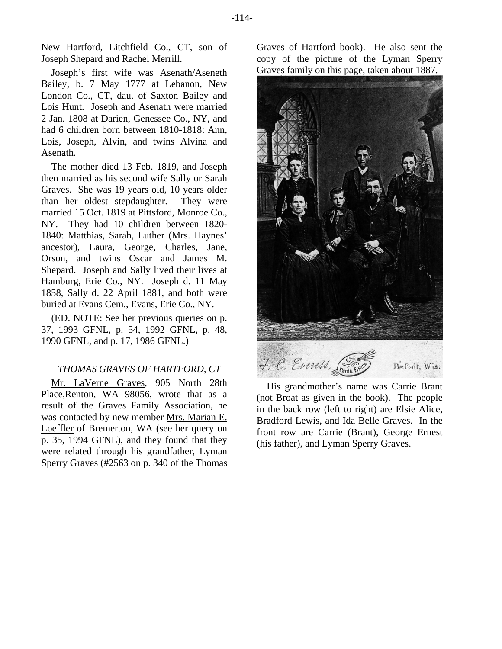-114-

New Hartford, Litchfield Co., CT, son of Joseph Shepard and Rachel Merrill.

Joseph's first wife was Asenath/Aseneth Bailey, b. 7 May 1777 at Lebanon, New London Co., CT, dau. of Saxton Bailey and Lois Hunt. Joseph and Asenath were married 2 Jan. 1808 at Darien, Genessee Co., NY, and had 6 children born between 1810-1818: Ann, Lois, Joseph, Alvin, and twins Alvina and Asenath.

The mother died 13 Feb. 1819, and Joseph then married as his second wife Sally or Sarah Graves. She was 19 years old, 10 years older than her oldest stepdaughter. They were married 15 Oct. 1819 at Pittsford, Monroe Co., NY. They had 10 children between 1820- 1840: Matthias, Sarah, Luther (Mrs. Haynes' ancestor), Laura, George, Charles, Jane, Orson, and twins Oscar and James M. Shepard. Joseph and Sally lived their lives at Hamburg, Erie Co., NY. Joseph d. 11 May 1858, Sally d. 22 April 1881, and both were buried at Evans Cem., Evans, Erie Co., NY.

(ED. NOTE: See her previous queries on p. 37, 1993 GFNL, p. 54, 1992 GFNL, p. 48, 1990 GFNL, and p. 17, 1986 GFNL.)

# *THOMAS GRAVES OF HARTFORD, CT*

Mr. LaVerne Graves, 905 North 28th Place,Renton, WA 98056, wrote that as a result of the Graves Family Association, he was contacted by new member Mrs. Marian E. Loeffler of Bremerton, WA (see her query on p. 35, 1994 GFNL), and they found that they were related through his grandfather, Lyman Sperry Graves (#2563 on p. 340 of the Thomas

Graves of Hartford book). He also sent the copy of the picture of the Lyman Sperry Graves family on this page, taken about 1887.



His grandmother's name was Carrie Brant (not Broat as given in the book). The people in the back row (left to right) are Elsie Alice, Bradford Lewis, and Ida Belle Graves. In the front row are Carrie (Brant), George Ernest (his father), and Lyman Sperry Graves.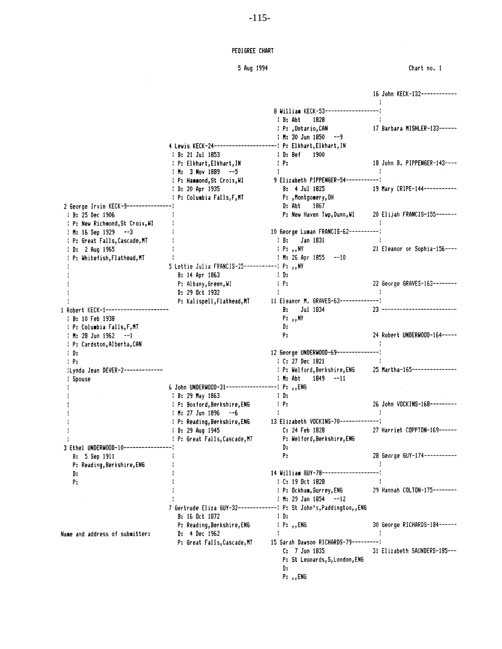#### PEDIGREE CHART

# 5 Aug 1994

 $\sim 10^{-11}$ 

|                                       |                                                            |                                                                                |              | 16 John KECK-132------------  |
|---------------------------------------|------------------------------------------------------------|--------------------------------------------------------------------------------|--------------|-------------------------------|
|                                       |                                                            |                                                                                | $\mathbf{I}$ |                               |
|                                       |                                                            | 8 William KECK-53--------------<br>1828<br>: B: Abt                            |              |                               |
|                                       |                                                            | : P: ,Ontario,CAN                                                              |              | 17 Barbara MISHLER-133------  |
|                                       |                                                            | $\frac{1}{2}$ M: 30 Jun 1850 $-9$                                              |              |                               |
|                                       |                                                            |                                                                                |              |                               |
|                                       | $\frac{1}{2}$ B: 21 Jul 1853                               | 1900<br>: D: Bef                                                               |              |                               |
|                                       |                                                            | $\mathbf{P}$                                                                   |              | 18 John B. PIPPENGER-143----  |
|                                       | : P: Elkhart,Elkhart,IN<br>$\frac{1}{2}$ M: 3 Nov 1889 --5 | $\mathbf{L}$                                                                   | $\cdot$      |                               |
|                                       | : P: Hammond, St Croix, WI                                 | 9 Elizabeth PIPPENGER-54------------                                           |              |                               |
|                                       | $\frac{1}{2}$ D: 20 Apr 1935                               | $B: 4$ Jul 1825                                                                |              | 19 Mary CRIPE-144-----------  |
|                                       | : P: Columbia Falls, F, MT                                 | P: ,Montgomery,OH                                                              |              |                               |
| 2 George Irvin KECK-9---------------- |                                                            | 1867<br>D: Abt                                                                 |              |                               |
| : B: 25 Dec 1906                      |                                                            | P: New Haven Twp, Dunn, WI 20 Elijah FRANCIS-155-------                        |              |                               |
| : P: New Richmond, St Croix, WI       |                                                            |                                                                                |              |                               |
| : M: 16 Sep 1929 --3                  |                                                            | 10 George Luman FRANCIS-62----------                                           |              |                               |
| : P: Great Falls,Cascade,MT           |                                                            | Jan 1831<br>$\cdot$ B:                                                         |              |                               |
| ! D: 2 Aug 1965                       |                                                            | $\vdash P:$ , NY                                                               |              | 21 Eleanor or Sophia-156----  |
|                                       |                                                            | $\frac{1}{2}$ M: 26 Apr 1855 --10                                              |              |                               |
| : P: Whitefish,Flathead,MT            | 5 Lettie Julia FRANCIS-25--------------- P: ,, NY          |                                                                                |              |                               |
|                                       | B: 14 Apr 1863                                             | $\mathbf{D}$                                                                   |              |                               |
|                                       |                                                            | $\pm$ Pr.                                                                      |              | 22 George GRAVES-163--------  |
|                                       | P: Albany, Green, WI                                       |                                                                                |              |                               |
|                                       | D: 29 Oct 1932                                             |                                                                                |              |                               |
|                                       |                                                            | P: Kalispell, Flathead, MT 11 Eleanor M. GRAVES-63----------------<br>Jul 1834 |              | 23 -------------------------- |
| 1 Robert KECK-1---------------------- |                                                            | В.                                                                             |              |                               |
| : B: 10 Feb 1938                      |                                                            | $P:$ , NY                                                                      |              |                               |
| : P: Columbia Falls, F, MT            |                                                            | D:                                                                             |              |                               |
| $1 M: 28 Jun 1962 --1$                |                                                            | Ρ.                                                                             |              | 24 Robert UNDERWOOD-164-----  |
| : P: Cardston, Alberta, CAN           |                                                            |                                                                                |              |                               |
| . D.                                  |                                                            | 12 George UNDERWOOD-69---------------                                          |              |                               |
| : P:                                  |                                                            | : C: 27 Dec 1821                                                               |              |                               |
| :Lynda Jean DEVER-2-------------      |                                                            | : P: Welford, Berkshire, ENG 25 Martha-165---------------                      |              |                               |
| : Spouse                              |                                                            | $H:$ Abt $1849 - 11$                                                           |              |                               |
|                                       | 6 John UNDERWOOD-31---------------------- P: ,, ENG        |                                                                                |              |                               |
|                                       | : B: 29 May 1863                                           | : D:                                                                           |              | 26 John VOCKINS-168---------  |
|                                       | : P: Boxford, Berkshire, ENG                               | $\pm$ P:<br>$\mathbf{L}$                                                       |              |                               |
|                                       | $+$ M: 27 Jun 1896 $-6$                                    | : P: Reading, Berkshire, ENG 13 Elizabeth VOCKINS-70--------------             |              |                               |
|                                       |                                                            |                                                                                |              | 27 Harriet COPPTON-169------  |
|                                       | $\frac{1}{2}$ D: 29 Aug 1945                               | C: 24 Feb 1828                                                                 |              |                               |
| 3 Ethel UNDERWOOD-10----------------- | : P: Great Falls, Cascade, MT                              | P: Welford, Berkshire, ENG                                                     |              |                               |
|                                       |                                                            | D:<br>Р.                                                                       |              | 28 George GUY-174-----------  |
| B: 5 Sep 1911                         |                                                            |                                                                                |              |                               |
| P: Reading, Berkshire, ENG            |                                                            | . 14 William GUY-78---------------------                                       |              |                               |
| D:                                    |                                                            | : C: 19 Oct 1828                                                               |              |                               |
| Ρ.                                    |                                                            |                                                                                |              | 29 Hannah COLTON-175--------  |
|                                       |                                                            | : P: Ockham, Surrey, ENG<br>$1 M: 29$ Jan 1854 $-12$                           |              |                               |
|                                       |                                                            |                                                                                |              |                               |
|                                       |                                                            | 7 Gertrude Eliza GUY-32----------------- P: St John's, Paddington, , ENG       |              |                               |
|                                       | B: 16 Oct 1872                                             | : D:                                                                           |              |                               |
|                                       | P: Reading, Berkshire, ENG                                 | : P: ,,ENG                                                                     |              | 30 George RICHARDS-184------  |
| Name and address of submitter:        | D: 4 Dec 1962                                              |                                                                                |              |                               |
|                                       | P: Great Falls, Cascade, MT                                | 15 Sarah Dawson RICHARDS-79----------                                          |              |                               |
|                                       |                                                            | C: 7 Jun 1835                                                                  |              | 31 Elizabeth SAUNDERS-185---  |
|                                       |                                                            | P: St Leonards, S, London, ENG                                                 |              |                               |
|                                       |                                                            | D.                                                                             |              |                               |
|                                       |                                                            | P: ,,ENG                                                                       |              |                               |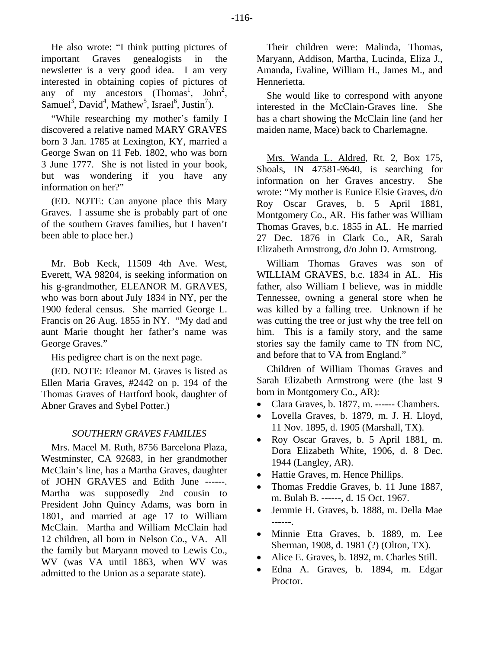He also wrote: "I think putting pictures of important Graves genealogists in the newsletter is a very good idea. I am very interested in obtaining copies of pictures of any of my ancestors  $(Thomas<sup>1</sup>, John<sup>2</sup>,$ Samuel<sup>3</sup>, David<sup>4</sup>, Mathew<sup>5</sup>, Israel<sup>6</sup>, Justin<sup>7</sup>).

"While researching my mother's family I discovered a relative named MARY GRAVES born 3 Jan. 1785 at Lexington, KY, married a George Swan on 11 Feb. 1802, who was born 3 June 1777. She is not listed in your book, but was wondering if you have any information on her?"

(ED. NOTE: Can anyone place this Mary Graves. I assume she is probably part of one of the southern Graves families, but I haven't been able to place her.)

Mr. Bob Keck, 11509 4th Ave. West, Everett, WA 98204, is seeking information on his g-grandmother, ELEANOR M. GRAVES, who was born about July 1834 in NY, per the 1900 federal census. She married George L. Francis on 26 Aug. 1855 in NY. "My dad and aunt Marie thought her father's name was George Graves."

His pedigree chart is on the next page.

(ED. NOTE: Eleanor M. Graves is listed as Ellen Maria Graves, #2442 on p. 194 of the Thomas Graves of Hartford book, daughter of Abner Graves and Sybel Potter.)

## *SOUTHERN GRAVES FAMILIES*

Mrs. Macel M. Ruth, 8756 Barcelona Plaza, Westminster, CA 92683, in her grandmother McClain's line, has a Martha Graves, daughter of JOHN GRAVES and Edith June ------. Martha was supposedly 2nd cousin to President John Quincy Adams, was born in 1801, and married at age 17 to William McClain. Martha and William McClain had 12 children, all born in Nelson Co., VA. All the family but Maryann moved to Lewis Co., WV (was VA until 1863, when WV was admitted to the Union as a separate state).

Their children were: Malinda, Thomas, Maryann, Addison, Martha, Lucinda, Eliza J., Amanda, Evaline, William H., James M., and Hennerietta.

She would like to correspond with anyone interested in the McClain-Graves line. She has a chart showing the McClain line (and her maiden name, Mace) back to Charlemagne.

Mrs. Wanda L. Aldred, Rt. 2, Box 175, Shoals, IN 47581-9640, is searching for information on her Graves ancestry. She wrote: "My mother is Eunice Elsie Graves, d/o Roy Oscar Graves, b. 5 April 1881, Montgomery Co., AR. His father was William Thomas Graves, b.c. 1855 in AL. He married 27 Dec. 1876 in Clark Co., AR, Sarah Elizabeth Armstrong, d/o John D. Armstrong.

William Thomas Graves was son of WILLIAM GRAVES, b.c. 1834 in AL. His father, also William I believe, was in middle Tennessee, owning a general store when he was killed by a falling tree. Unknown if he was cutting the tree or just why the tree fell on him. This is a family story, and the same stories say the family came to TN from NC, and before that to VA from England."

Children of William Thomas Graves and Sarah Elizabeth Armstrong were (the last 9 born in Montgomery Co., AR):

- Clara Graves, b. 1877, m. ------ Chambers.
- Lovella Graves, b. 1879, m. J. H. Lloyd, 11 Nov. 1895, d. 1905 (Marshall, TX).
- Roy Oscar Graves, b. 5 April 1881, m. Dora Elizabeth White, 1906, d. 8 Dec. 1944 (Langley, AR).
- Hattie Graves, m. Hence Phillips.
- Thomas Freddie Graves, b. 11 June 1887, m. Bulah B. ------, d. 15 Oct. 1967.
- Jemmie H. Graves, b. 1888, m. Della Mae ------.
- Minnie Etta Graves, b. 1889, m. Lee Sherman, 1908, d. 1981 (?) (Olton, TX).
- Alice E. Graves, b. 1892, m. Charles Still.
- Edna A. Graves, b. 1894, m. Edgar Proctor.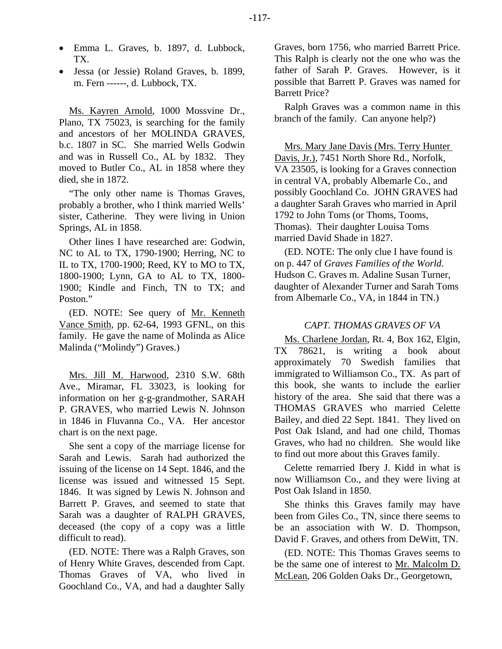- Emma L. Graves, b. 1897, d. Lubbock, TX.
- Jessa (or Jessie) Roland Graves, b. 1899, m. Fern ------, d. Lubbock, TX.

Ms. Kayren Arnold, 1000 Mossvine Dr., Plano, TX 75023, is searching for the family and ancestors of her MOLINDA GRAVES, b.c. 1807 in SC. She married Wells Godwin and was in Russell Co., AL by 1832. They moved to Butler Co., AL in 1858 where they died, she in 1872.

"The only other name is Thomas Graves, probably a brother, who I think married Wells' sister, Catherine. They were living in Union Springs, AL in 1858.

Other lines I have researched are: Godwin, NC to AL to TX, 1790-1900; Herring, NC to IL to TX, 1700-1900; Reed, KY to MO to TX, 1800-1900; Lynn, GA to AL to TX, 1800- 1900; Kindle and Finch, TN to TX; and Poston."

(ED. NOTE: See query of Mr. Kenneth Vance Smith, pp. 62-64, 1993 GFNL, on this family. He gave the name of Molinda as Alice Malinda ("Molindy") Graves.)

Mrs. Jill M. Harwood, 2310 S.W. 68th Ave., Miramar, FL 33023, is looking for information on her g-g-grandmother, SARAH P. GRAVES, who married Lewis N. Johnson in 1846 in Fluvanna Co., VA. Her ancestor chart is on the next page.

She sent a copy of the marriage license for Sarah and Lewis. Sarah had authorized the issuing of the license on 14 Sept. 1846, and the license was issued and witnessed 15 Sept. 1846. It was signed by Lewis N. Johnson and Barrett P. Graves, and seemed to state that Sarah was a daughter of RALPH GRAVES, deceased (the copy of a copy was a little difficult to read).

(ED. NOTE: There was a Ralph Graves, son of Henry White Graves, descended from Capt. Thomas Graves of VA, who lived in Goochland Co., VA, and had a daughter Sally Graves, born 1756, who married Barrett Price. This Ralph is clearly not the one who was the father of Sarah P. Graves. However, is it possible that Barrett P. Graves was named for Barrett Price?

Ralph Graves was a common name in this branch of the family. Can anyone help?)

Mrs. Mary Jane Davis (Mrs. Terry Hunter Davis, Jr.), 7451 North Shore Rd., Norfolk, VA 23505, is looking for a Graves connection in central VA, probably Albemarle Co., and possibly Goochland Co. JOHN GRAVES had a daughter Sarah Graves who married in April 1792 to John Toms (or Thoms, Tooms, Thomas). Their daughter Louisa Toms married David Shade in 1827.

(ED. NOTE: The only clue I have found is on p. 447 of *Graves Families of the World*. Hudson C. Graves m. Adaline Susan Turner, daughter of Alexander Turner and Sarah Toms from Albemarle Co., VA, in 1844 in TN.)

## *CAPT. THOMAS GRAVES OF VA*

Ms. Charlene Jordan, Rt. 4, Box 162, Elgin, TX 78621, is writing a book about approximately 70 Swedish families that immigrated to Williamson Co., TX. As part of this book, she wants to include the earlier history of the area. She said that there was a THOMAS GRAVES who married Celette Bailey, and died 22 Sept. 1841. They lived on Post Oak Island, and had one child, Thomas Graves, who had no children. She would like to find out more about this Graves family.

Celette remarried Ibery J. Kidd in what is now Williamson Co., and they were living at Post Oak Island in 1850.

She thinks this Graves family may have been from Giles Co., TN, since there seems to be an association with W. D. Thompson, David F. Graves, and others from DeWitt, TN.

(ED. NOTE: This Thomas Graves seems to be the same one of interest to Mr. Malcolm D. McLean, 206 Golden Oaks Dr., Georgetown,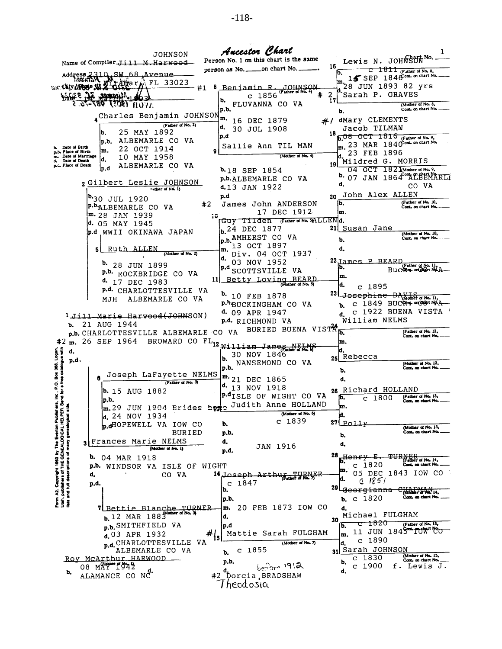| JOHNSON                                                                                                                                                                                       | Ancestor Chart                                                  | ı                                                            |
|-----------------------------------------------------------------------------------------------------------------------------------------------------------------------------------------------|-----------------------------------------------------------------|--------------------------------------------------------------|
| Name of Compiler Jill M. Harwood                                                                                                                                                              | Person No. 1 on this chart is the same                          | Lewis N. JOHNSUNNO.                                          |
| Address 2310, SM.68 Avenue                                                                                                                                                                    | person as No. _____on chart No. _                               | 16<br>$\tau$ $1811$ (Father of No. 8.<br>ю.                  |
| WE CALVARDE ALL OF HE 33023                                                                                                                                                                   |                                                                 | 15 SEP 1846 ont. on chart No.                                |
| #1<br><b>Mitchell of Statisty</b>                                                                                                                                                             | Benjamin R. JOHNSON<br>(Father of No. 4)<br>#<br>$c$ 1856       | $\frac{m}{4}$ 28 JUN 1893 82 yrs<br>Sarah P. GRAVES<br>2     |
| AVON <b>1905) "PB7-7</b> 6-3                                                                                                                                                                  | b.<br>FLUVANNA CO VA                                            | (Mother of No. 8,                                            |
| 4 <sup>Charles</sup> Benjamin JOHNSON                                                                                                                                                         | p.b.                                                            | Cont. on chart No.<br>b.                                     |
| (Father of No. 2)                                                                                                                                                                             | m.<br>16 DEC 1879                                               | #/ dMary CLEMENTS                                            |
| 25 MAY 1892<br>b.                                                                                                                                                                             | α.<br>30 JUL 1908                                               | Jacob TILMAN<br>18                                           |
| ALBEMARLE CO VA<br>p.b.                                                                                                                                                                       | p.d<br>Sallie Ann TIL MAN                                       | b, 08 OCT 1816 (Father of No. 9,<br>23 MAR 1840 on chart No. |
| Date of Birth<br>22 OCT 1914<br>m.<br>p.b. Place of Birth<br>m. Date of Marriage                                                                                                              | 9<br>(Mother of No. 4)                                          | m.<br>23 FEB 1896                                            |
| 10 MAY 1958<br>d.<br>Date of Death<br>ፌ<br>ALBEMARLE CO VA<br>p.d. Place of Death                                                                                                             |                                                                 | Mildred G. MORRIS<br>19 I                                    |
| lp.d                                                                                                                                                                                          | <b>b.18 SEP 1854</b>                                            | 04 OCT 1821 Mother of No. 9,                                 |
| 2 Gilbert Leslie JOHNSON                                                                                                                                                                      | p.b.ALBEMARLE CO VA                                             | 07 JAN 1864 LEEWARL<br>d.<br>CO VA                           |
| Tather of No. 1)                                                                                                                                                                              | d.13 JAN 1922                                                   | 20 John Alex ALLEN                                           |
| <sup>b.</sup> 30 JUL 1920<br>#2                                                                                                                                                               | p.d<br>James John ANDERSON                                      | (Father of No. 10,<br>lb.                                    |
| P. ALBEMARLE CO VA<br>! <b>m.</b> 28 JAN 1939                                                                                                                                                 | 17 DEC 1912                                                     | Cont. on chart No.<br>m.                                     |
| d. 05 MAY 1945                                                                                                                                                                                | 10<br>Guy Tilden (Father of No. 5ALLENd.                        |                                                              |
| p.d WWII OKINAWA JAPAN                                                                                                                                                                        | b. 24 DEC 1877                                                  | 211<br>Susan Jane<br>(Mother of No. 10,                      |
|                                                                                                                                                                                               | D.B. AMHERST CO VA<br>13 OCT 1897                               | Cont. on chart No.<br>b.                                     |
| Ruth ALLEN<br>5  <br>(Mother of No. 2)                                                                                                                                                        | m.<br>Div. 04 OCT 1937                                          | d.                                                           |
| D.<br>28 JUN 1899                                                                                                                                                                             | d.<br>03 NOV 1952                                               | 22 James P BEARD<br>(Father of No. 1)                        |
| p.b. ROCKBRIDGE CO VA                                                                                                                                                                         | p.d<br>SCOTTSVILLE<br>- VA                                      | Ib.<br>Buc®port on Choun No.2<br>m.                          |
| d. 17 DEC 1983                                                                                                                                                                                | Betty Loving BEARD<br>11<br>(Mother of No. 5)                   | ld.<br>c 1895                                                |
| P.d. CHARLOTTESVILLE VA                                                                                                                                                                       | b. 10 FEB 1878                                                  | 23 <sub>L</sub><br>Josephine DAVIS                           |
| ALBEMARLE CO VA<br>MJH                                                                                                                                                                        | P.bBUCKINGHAM CO VA                                             | 1849 BUC%M+ያ መር <del>ሻም</del> MAA<br>c                       |
| 1 Jill Marie Harwood(JOHNSON)                                                                                                                                                                 | d. 09 APR 1947                                                  | 1922 BUENA VISTA<br>c<br>d.                                  |
| 21 AUG 1944<br>b.                                                                                                                                                                             | p.d. RICHMOND VA                                                | William NELMS                                                |
| p.b. CHARLOTTESVILLE ALBEMARLE CO                                                                                                                                                             | BURIED BUENA VISTA<br>VA                                        | (Father of No. 12,<br>b.<br>Cont. on chart No.               |
| m. 26 SEP 1964                                                                                                                                                                                | BROWARD CO FL <sub>12</sub> William Jame <sub>Enri</sub> Philis | m.                                                           |
| d.                                                                                                                                                                                            | 30 NOV 1846<br>b.                                               | b.<br>Rebecca                                                |
| ox 368, Logan,<br>catalogue with<br>p.d.                                                                                                                                                      | NANSEMOND CO VA<br>p.b.                                         | (Mother of No. 12,<br>Cont. on chart No.                     |
| Joseph LaFayette NELMS                                                                                                                                                                        |                                                                 | ъ.                                                           |
| (Father of No. 3)                                                                                                                                                                             | $\mathbf{m.}$ 21 DEC 1865<br><sup>d.</sup> 13 NOV 1918          | d.                                                           |
| <b>b.</b> 15 AUG 1882<br>ĕ<br>꾿                                                                                                                                                               | P. <sup>d</sup> ISLE OF WIGHT CO VA                             | 26 Richard HOLLAND<br>(Father of No. 13,<br>Þ.<br>1800<br>c. |
| p,b.<br>š<br>m.29 JUN 1904 Brides                                                                                                                                                             | Judith Anne HOLLAND<br>0.0212                                   | Comt, on chart No.<br>m.                                     |
| d. 24 NOV 1934                                                                                                                                                                                | (Mother of No. 6)                                               | k.                                                           |
| p.dHOPEWELL VA IOW CO                                                                                                                                                                         | $c$ 1839<br>b.                                                  | $27$ $\sqrt{$ Polly<br>Mother of No. 13,                     |
| BURIED                                                                                                                                                                                        | p.b.                                                            | Cont. on chart No.<br>b.                                     |
| Form A2, Copyright 1963 by The Everton Publis<br>Utah, publishers of THE GENEALOGICAL HELPE<br>lists and full descriptions of many genealogical s<br>Frances Marie NELMS<br>(Mother of No. 1) | d.<br>JAN 1916                                                  | d.                                                           |
| b,<br>04 MAR 1918                                                                                                                                                                             | p.d.                                                            | 28<br>THRNER<br><b>Henry</b><br>┺┲                           |
| <b>p.b.</b> WINDSOR VA ISLE OF WIGHT                                                                                                                                                          |                                                                 | ather of No. 14.<br>$c$ 1820<br>Cont. on chart No.           |
| d.<br>CO VA                                                                                                                                                                                   | TURNEF<br>14 Joseph<br><u>Arthur</u><br>(Father of No. 7)       | m.<br>05 DEC 1843 IOW CO<br>d.                               |
| p.d.                                                                                                                                                                                          | 1847<br>c<br>b.                                                 | 0.1851<br>29 <i>Georgianna</i>                               |
|                                                                                                                                                                                               | p.b.                                                            | midder a No. 14.<br>Cont. on chart No.<br>$c$ 1820<br>ъ.     |
| 7 Bettie Blanche TURNER                                                                                                                                                                       | 20 FEB 1873 IOW CO<br>m.                                        | d.                                                           |
| <b>b.</b> 12 MAR $188\frac{\text{Modern of Na}}{3}$                                                                                                                                           | d,                                                              | Michael FULGHAM<br>30                                        |
| p.b. SMITHFIELD VA                                                                                                                                                                            | p.d                                                             | 1820<br>(Father of No. 15,<br>c<br>b.<br>11 JUN 1845 10 70   |
| #<br>d.03 APR 1932                                                                                                                                                                            | Mattie Sarah FULGHAM                                            | m.<br>$c$ 1890                                               |
| p.d. CHARLOTTESVILLE<br>VA.<br>ALBEMARLE CO VA                                                                                                                                                | (Mother of No. 7)<br>$c$ 1855                                   | ۱d.<br>31 Sarah JOHNSON                                      |
| Roy McArthur HARWOOD                                                                                                                                                                          | b.<br>p.b.                                                      | (Mother of No. 15,<br>c 1830<br>Cont., on chart No.          |
| 08 MAY 1942<br>b.                                                                                                                                                                             | $be^{2}$                                                        | b.<br>c 1900<br>f. Lewis J.<br>d.                            |
| ALAMANCE CO NC                                                                                                                                                                                | #2 Dorcia BRADSHAW                                              |                                                              |
|                                                                                                                                                                                               | Theodosia                                                       |                                                              |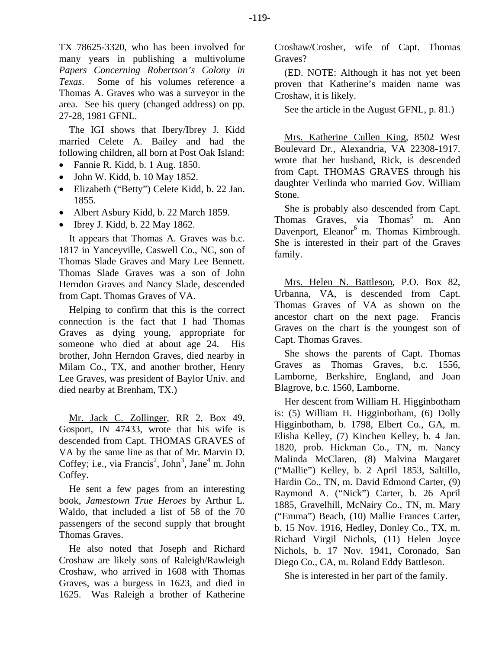TX 78625-3320, who has been involved for many years in publishing a multivolume *Papers Concerning Robertson's Colony in Texas*. Some of his volumes reference a Thomas A. Graves who was a surveyor in the area. See his query (changed address) on pp. 27-28, 1981 GFNL.

The IGI shows that Ibery/Ibrey J. Kidd married Celete A. Bailey and had the following children, all born at Post Oak Island:

- Fannie R. Kidd, b. 1 Aug. 1850.
- John W. Kidd, b. 10 May 1852.
- Elizabeth ("Betty") Celete Kidd, b. 22 Jan. 1855.
- Albert Asbury Kidd, b. 22 March 1859.
- Ibrey J. Kidd, b. 22 May 1862.

It appears that Thomas A. Graves was b.c. 1817 in Yanceyville, Caswell Co., NC, son of Thomas Slade Graves and Mary Lee Bennett. Thomas Slade Graves was a son of John Herndon Graves and Nancy Slade, descended from Capt. Thomas Graves of VA.

Helping to confirm that this is the correct connection is the fact that I had Thomas Graves as dying young, appropriate for someone who died at about age 24. His brother, John Herndon Graves, died nearby in Milam Co., TX, and another brother, Henry Lee Graves, was president of Baylor Univ. and died nearby at Brenham, TX.)

Mr. Jack C. Zollinger, RR 2, Box 49, Gosport, IN 47433, wrote that his wife is descended from Capt. THOMAS GRAVES of VA by the same line as that of Mr. Marvin D. Coffey; i.e., via Francis<sup>2</sup>, John<sup>3</sup>, Jane<sup>4</sup> m. John Coffey.

He sent a few pages from an interesting book, *Jamestown True Heroes* by Arthur L. Waldo, that included a list of 58 of the 70 passengers of the second supply that brought Thomas Graves.

He also noted that Joseph and Richard Croshaw are likely sons of Raleigh/Rawleigh Croshaw, who arrived in 1608 with Thomas Graves, was a burgess in 1623, and died in 1625. Was Raleigh a brother of Katherine Croshaw/Crosher, wife of Capt. Thomas Graves?

(ED. NOTE: Although it has not yet been proven that Katherine's maiden name was Croshaw, it is likely.

See the article in the August GFNL, p. 81.)

Mrs. Katherine Cullen King, 8502 West Boulevard Dr., Alexandria, VA 22308-1917. wrote that her husband, Rick, is descended from Capt. THOMAS GRAVES through his daughter Verlinda who married Gov. William Stone.

She is probably also descended from Capt. Thomas Graves, via Thomas<sup>5</sup> m. Ann Davenport, Eleanor<sup>6</sup> m. Thomas Kimbrough. She is interested in their part of the Graves family.

Mrs. Helen N. Battleson, P.O. Box 82, Urbanna, VA, is descended from Capt. Thomas Graves of VA as shown on the ancestor chart on the next page. Francis Graves on the chart is the youngest son of Capt. Thomas Graves.

She shows the parents of Capt. Thomas Graves as Thomas Graves, b.c. 1556, Lamborne, Berkshire, England, and Joan Blagrove, b.c. 1560, Lamborne.

Her descent from William H. Higginbotham is: (5) William H. Higginbotham, (6) Dolly Higginbotham, b. 1798, Elbert Co., GA, m. Elisha Kelley, (7) Kinchen Kelley, b. 4 Jan. 1820, prob. Hickman Co., TN, m. Nancy Malinda McClaren, (8) Malvina Margaret ("Mallie") Kelley, b. 2 April 1853, Saltillo, Hardin Co., TN, m. David Edmond Carter, (9) Raymond A. ("Nick") Carter, b. 26 April 1885, Gravelhill, McNairy Co., TN, m. Mary ("Emma") Beach, (10) Mallie Frances Carter, b. 15 Nov. 1916, Hedley, Donley Co., TX, m. Richard Virgil Nichols, (11) Helen Joyce Nichols, b. 17 Nov. 1941, Coronado, San Diego Co., CA, m. Roland Eddy Battleson.

She is interested in her part of the family.